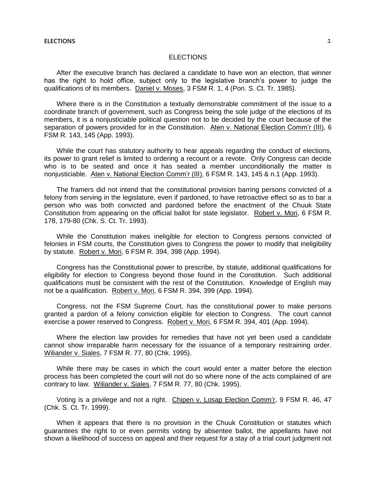# **ELECTIONS**

After the executive branch has declared a candidate to have won an election, that winner has the right to hold office, subject only to the legislative branch's power to judge the qualifications of its members. Daniel v. Moses, 3 FSM R. 1, 4 (Pon. S. Ct. Tr. 1985).

Where there is in the Constitution a textually demonstrable commitment of the issue to a coordinate branch of government, such as Congress being the sole judge of the elections of its members, it is a nonjusticiable political question not to be decided by the court because of the separation of powers provided for in the Constitution. Aten v. National Election Comm'r (III), 6 FSM R. 143, 145 (App. 1993).

While the court has statutory authority to hear appeals regarding the conduct of elections, its power to grant relief is limited to ordering a recount or a revote. Only Congress can decide who is to be seated and once it has seated a member unconditionally the matter is nonjusticiable. Aten v. National Election Comm'r (III), 6 FSM R. 143, 145 & n.1 (App. 1993).

The framers did not intend that the constitutional provision barring persons convicted of a felony from serving in the legislature, even if pardoned, to have retroactive effect so as to bar a person who was both convicted and pardoned before the enactment of the Chuuk State Constitution from appearing on the official ballot for state legislator. Robert v. Mori, 6 FSM R. 178, 179-80 (Chk. S. Ct. Tr. 1993).

While the Constitution makes ineligible for election to Congress persons convicted of felonies in FSM courts, the Constitution gives to Congress the power to modify that ineligibility by statute. Robert v. Mori, 6 FSM R. 394, 398 (App. 1994).

Congress has the Constitutional power to prescribe, by statute, additional qualifications for eligibility for election to Congress beyond those found in the Constitution. Such additional qualifications must be consistent with the rest of the Constitution. Knowledge of English may not be a qualification. Robert v. Mori, 6 FSM R. 394, 399 (App. 1994).

Congress, not the FSM Supreme Court, has the constitutional power to make persons granted a pardon of a felony conviction eligible for election to Congress. The court cannot exercise a power reserved to Congress. Robert v. Mori, 6 FSM R. 394, 401 (App. 1994).

Where the election law provides for remedies that have not yet been used a candidate cannot show irreparable harm necessary for the issuance of a temporary restraining order. Wiliander v. Siales, 7 FSM R. 77, 80 (Chk. 1995).

While there may be cases in which the court would enter a matter before the election process has been completed the court will not do so where none of the acts complained of are contrary to law. Wiliander v. Siales, 7 FSM R. 77, 80 (Chk. 1995).

Voting is a privilege and not a right. Chipen v. Losap Election Comm'r, 9 FSM R. 46, 47 (Chk. S. Ct. Tr. 1999).

When it appears that there is no provision in the Chuuk Constitution or statutes which guarantees the right to or even permits voting by absentee ballot, the appellants have not shown a likelihood of success on appeal and their request for a stay of a trial court judgment not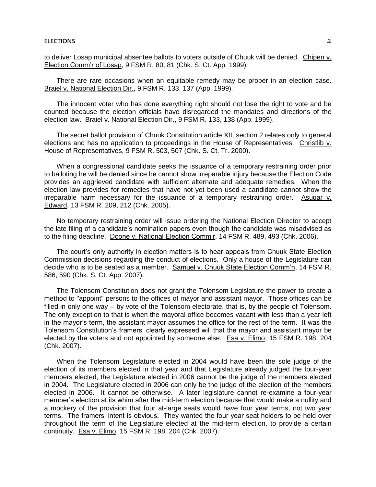to deliver Losap municipal absentee ballots to voters outside of Chuuk will be denied. Chipen v. Election Comm'r of Losap, 9 FSM R. 80, 81 (Chk. S. Ct. App. 1999).

There are rare occasions when an equitable remedy may be proper in an election case. Braiel v. National Election Dir., 9 FSM R. 133, 137 (App. 1999).

The innocent voter who has done everything right should not lose the right to vote and be counted because the election officials have disregarded the mandates and directions of the election law. Braiel v. National Election Dir., 9 FSM R. 133, 138 (App. 1999).

The secret ballot provision of Chuuk Constitution article XII, section 2 relates only to general elections and has no application to proceedings in the House of Representatives. Christlib v. House of Representatives, 9 FSM R. 503, 507 (Chk. S. Ct. Tr. 2000).

When a congressional candidate seeks the issuance of a temporary restraining order prior to balloting he will be denied since he cannot show irreparable injury because the Election Code provides an aggrieved candidate with sufficient alternate and adequate remedies. When the election law provides for remedies that have not yet been used a candidate cannot show the irreparable harm necessary for the issuance of a temporary restraining order. Asugar v. Edward, 13 FSM R. 209, 212 (Chk. 2005).

No temporary restraining order will issue ordering the National Election Director to accept the late filing of a candidate's nomination papers even though the candidate was misadvised as to the filing deadline. Doone v. National Election Comm'r, 14 FSM R. 489, 493 (Chk. 2006).

The court's only authority in election matters is to hear appeals from Chuuk State Election Commission decisions regarding the conduct of elections. Only a house of the Legislature can decide who is to be seated as a member. Samuel v. Chuuk State Election Comm'n, 14 FSM R. 586, 590 (Chk. S. Ct. App. 2007).

The Tolensom Constitution does not grant the Tolensom Legislature the power to create a method to "appoint" persons to the offices of mayor and assistant mayor. Those offices can be filled in only one way — by vote of the Tolensom electorate, that is, by the people of Tolensom. The only exception to that is when the mayoral office becomes vacant with less than a year left in the mayor's term, the assistant mayor assumes the office for the rest of the term. It was the Tolensom Constitution's framers' clearly expressed will that the mayor and assistant mayor be elected by the voters and not appointed by someone else. Esa v. Elimo, 15 FSM R. 198, 204 (Chk. 2007).

When the Tolensom Legislature elected in 2004 would have been the sole judge of the election of its members elected in that year and that Legislature already judged the four-year members elected, the Legislature elected in 2006 cannot be the judge of the members elected in 2004. The Legislature elected in 2006 can only be the judge of the election of the members elected in 2006. It cannot be otherwise. A later legislature cannot re-examine a four-year member's election at its whim after the mid-term election because that would make a nullity and a mockery of the provision that four at-large seats would have four year terms, not two year terms. The framers' intent is obvious. They wanted the four year seat holders to be held over throughout the term of the Legislature elected at the mid-term election, to provide a certain continuity. Esa v. Elimo, 15 FSM R. 198, 204 (Chk. 2007).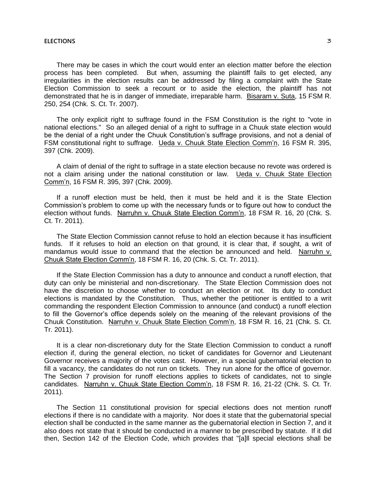#### **ELECTIONS** 3

There may be cases in which the court would enter an election matter before the election process has been completed. But when, assuming the plaintiff fails to get elected, any irregularities in the election results can be addressed by filing a complaint with the State Election Commission to seek a recount or to aside the election, the plaintiff has not demonstrated that he is in danger of immediate, irreparable harm. Bisaram v. Suta, 15 FSM R. 250, 254 (Chk. S. Ct. Tr. 2007).

The only explicit right to suffrage found in the FSM Constitution is the right to "vote in national elections." So an alleged denial of a right to suffrage in a Chuuk state election would be the denial of a right under the Chuuk Constitution's suffrage provisions, and not a denial of FSM constitutional right to suffrage. Ueda v. Chuuk State Election Comm'n, 16 FSM R. 395, 397 (Chk. 2009).

A claim of denial of the right to suffrage in a state election because no revote was ordered is not a claim arising under the national constitution or law. Ueda v. Chuuk State Election Comm'n, 16 FSM R. 395, 397 (Chk. 2009).

If a runoff election must be held, then it must be held and it is the State Election Commission's problem to come up with the necessary funds or to figure out how to conduct the election without funds. Narruhn v. Chuuk State Election Comm'n, 18 FSM R. 16, 20 (Chk. S. Ct. Tr. 2011).

The State Election Commission cannot refuse to hold an election because it has insufficient funds. If it refuses to hold an election on that ground, it is clear that, if sought, a writ of mandamus would issue to command that the election be announced and held. Narruhn v. Chuuk State Election Comm'n, 18 FSM R. 16, 20 (Chk. S. Ct. Tr. 2011).

If the State Election Commission has a duty to announce and conduct a runoff election, that duty can only be ministerial and non-discretionary. The State Election Commission does not have the discretion to choose whether to conduct an election or not. Its duty to conduct elections is mandated by the Constitution. Thus, whether the petitioner is entitled to a writ commanding the respondent Election Commission to announce (and conduct) a runoff election to fill the Governor's office depends solely on the meaning of the relevant provisions of the Chuuk Constitution. Narruhn v. Chuuk State Election Comm'n, 18 FSM R. 16, 21 (Chk. S. Ct. Tr. 2011).

It is a clear non-discretionary duty for the State Election Commission to conduct a runoff election if, during the general election, no ticket of candidates for Governor and Lieutenant Governor receives a majority of the votes cast. However, in a special gubernatorial election to fill a vacancy, the candidates do not run on tickets. They run alone for the office of governor. The Section 7 provision for runoff elections applies to tickets of candidates, not to single candidates. Narruhn v. Chuuk State Election Comm'n, 18 FSM R. 16, 21-22 (Chk. S. Ct. Tr. 2011).

The Section 11 constitutional provision for special elections does not mention runoff elections if there is no candidate with a majority. Nor does it state that the gubernatorial special election shall be conducted in the same manner as the gubernatorial election in Section 7, and it also does not state that it should be conducted in a manner to be prescribed by statute. If it did then, Section 142 of the Election Code, which provides that "[a]ll special elections shall be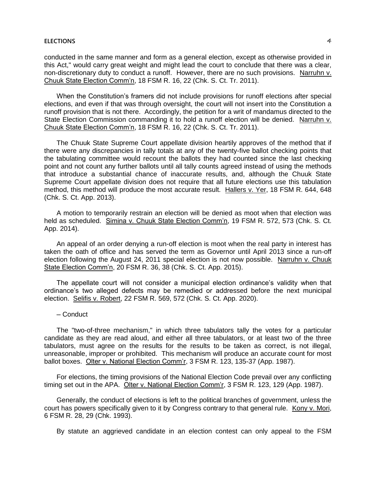#### **ELECTIONS** 4

conducted in the same manner and form as a general election, except as otherwise provided in this Act," would carry great weight and might lead the court to conclude that there was a clear, non-discretionary duty to conduct a runoff. However, there are no such provisions. Narruhn v. Chuuk State Election Comm'n, 18 FSM R. 16, 22 (Chk. S. Ct. Tr. 2011).

When the Constitution's framers did not include provisions for runoff elections after special elections, and even if that was through oversight, the court will not insert into the Constitution a runoff provision that is not there. Accordingly, the petition for a writ of mandamus directed to the State Election Commission commanding it to hold a runoff election will be denied. Narruhn v. Chuuk State Election Comm'n, 18 FSM R. 16, 22 (Chk. S. Ct. Tr. 2011).

The Chuuk State Supreme Court appellate division heartily approves of the method that if there were any discrepancies in tally totals at any of the twenty-five ballot checking points that the tabulating committee would recount the ballots they had counted since the last checking point and not count any further ballots until all tally counts agreed instead of using the methods that introduce a substantial chance of inaccurate results, and, although the Chuuk State Supreme Court appellate division does not require that all future elections use this tabulation method, this method will produce the most accurate result. Hallers v. Yer, 18 FSM R. 644, 648 (Chk. S. Ct. App. 2013).

A motion to temporarily restrain an election will be denied as moot when that election was held as scheduled. Simina v. Chuuk State Election Comm'n, 19 FSM R. 572, 573 (Chk. S. Ct. App. 2014).

An appeal of an order denying a run-off election is moot when the real party in interest has taken the oath of office and has served the term as Governor until April 2013 since a run-off election following the August 24, 2011 special election is not now possible. Narruhn v. Chuuk State Election Comm'n, 20 FSM R. 36, 38 (Chk. S. Ct. App. 2015).

The appellate court will not consider a municipal election ordinance's validity when that ordinance's two alleged defects may be remedied or addressed before the next municipal election. Selifis v. Robert, 22 FSM R. 569, 572 (Chk. S. Ct. App. 2020).

#### ─ Conduct

The "two-of-three mechanism," in which three tabulators tally the votes for a particular candidate as they are read aloud, and either all three tabulators, or at least two of the three tabulators, must agree on the results for the results to be taken as correct, is not illegal, unreasonable, improper or prohibited. This mechanism will produce an accurate count for most ballot boxes. Olter v. National Election Comm'r, 3 FSM R. 123, 135-37 (App. 1987).

For elections, the timing provisions of the National Election Code prevail over any conflicting timing set out in the APA. Olter v. National Election Comm'r, 3 FSM R. 123, 129 (App. 1987).

Generally, the conduct of elections is left to the political branches of government, unless the court has powers specifically given to it by Congress contrary to that general rule. Kony v. Mori, 6 FSM R. 28, 29 (Chk. 1993).

By statute an aggrieved candidate in an election contest can only appeal to the FSM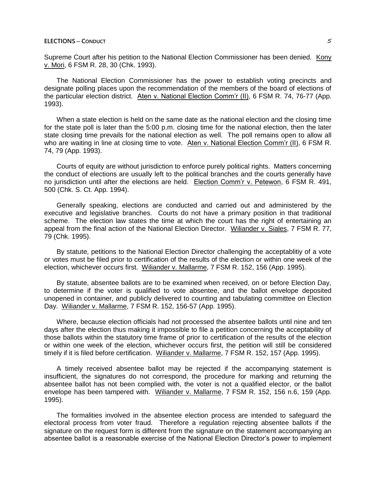Supreme Court after his petition to the National Election Commissioner has been denied. Kony v. Mori, 6 FSM R. 28, 30 (Chk. 1993).

The National Election Commissioner has the power to establish voting precincts and designate polling places upon the recommendation of the members of the board of elections of the particular election district. Aten v. National Election Comm'r (II), 6 FSM R. 74, 76-77 (App. 1993).

When a state election is held on the same date as the national election and the closing time for the state poll is later than the 5:00 p.m. closing time for the national election, then the later state closing time prevails for the national election as well. The poll remains open to allow all who are waiting in line at closing time to vote. Aten v. National Election Comm'r (II), 6 FSM R. 74, 79 (App. 1993).

Courts of equity are without jurisdiction to enforce purely political rights. Matters concerning the conduct of elections are usually left to the political branches and the courts generally have no jurisdiction until after the elections are held. Election Comm'r v. Petewon, 6 FSM R. 491, 500 (Chk. S. Ct. App. 1994).

Generally speaking, elections are conducted and carried out and administered by the executive and legislative branches. Courts do not have a primary position in that traditional scheme. The election law states the time at which the court has the right of entertaining an appeal from the final action of the National Election Director. Wiliander v. Siales, 7 FSM R. 77, 79 (Chk. 1995).

By statute, petitions to the National Election Director challenging the acceptablitiy of a vote or votes must be filed prior to certification of the results of the election or within one week of the election, whichever occurs first. Wiliander v. Mallarme, 7 FSM R. 152, 156 (App. 1995).

By statute, absentee ballots are to be examined when received, on or before Election Day, to determine if the voter is qualified to vote absentee, and the ballot envelope deposited unopened in container, and publicly delivered to counting and tabulating committee on Election Day. Wiliander v. Mallarme, 7 FSM R. 152, 156-57 (App. 1995).

Where, because election officials had not processed the absentee ballots until nine and ten days after the election thus making it impossible to file a petition concerning the acceptability of those ballots within the statutory time frame of prior to certification of the results of the election or within one week of the election, whichever occurs first, the petition will still be considered timely if it is filed before certification. Wiliander v. Mallarme, 7 FSM R. 152, 157 (App. 1995).

A timely received absentee ballot may be rejected if the accompanying statement is insufficient, the signatures do not correspond, the procedure for marking and returning the absentee ballot has not been complied with, the voter is not a qualified elector, or the ballot envelope has been tampered with. Wiliander v. Mallarme, 7 FSM R. 152, 156 n.6, 159 (App. 1995).

The formalities involved in the absentee election process are intended to safeguard the electoral process from voter fraud. Therefore a regulation rejecting absentee ballots if the signature on the request form is different from the signature on the statement accompanying an absentee ballot is a reasonable exercise of the National Election Director's power to implement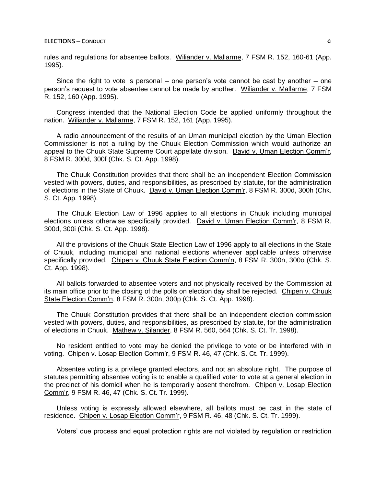rules and regulations for absentee ballots. Wiliander v. Mallarme, 7 FSM R. 152, 160-61 (App. 1995).

Since the right to vote is personal  $-$  one person's vote cannot be cast by another  $-$  one person's request to vote absentee cannot be made by another. Wiliander v. Mallarme, 7 FSM R. 152, 160 (App. 1995).

Congress intended that the National Election Code be applied uniformly throughout the nation. Wiliander v. Mallarme, 7 FSM R. 152, 161 (App. 1995).

A radio announcement of the results of an Uman municipal election by the Uman Election Commissioner is not a ruling by the Chuuk Election Commission which would authorize an appeal to the Chuuk State Supreme Court appellate division. David v. Uman Election Comm'r, 8 FSM R. 300d, 300f (Chk. S. Ct. App. 1998).

The Chuuk Constitution provides that there shall be an independent Election Commission vested with powers, duties, and responsibilities, as prescribed by statute, for the administration of elections in the State of Chuuk. David v. Uman Election Comm'r, 8 FSM R. 300d, 300h (Chk. S. Ct. App. 1998).

The Chuuk Election Law of 1996 applies to all elections in Chuuk including municipal elections unless otherwise specifically provided. David v. Uman Election Comm'r, 8 FSM R. 300d, 300i (Chk. S. Ct. App. 1998).

All the provisions of the Chuuk State Election Law of 1996 apply to all elections in the State of Chuuk, including municipal and national elections whenever applicable unless otherwise specifically provided. Chipen v. Chuuk State Election Comm'n, 8 FSM R. 300n, 300o (Chk. S. Ct. App. 1998).

All ballots forwarded to absentee voters and not physically received by the Commission at its main office prior to the closing of the polls on election day shall be rejected. Chipen v. Chuuk State Election Comm'n, 8 FSM R. 300n, 300p (Chk. S. Ct. App. 1998).

The Chuuk Constitution provides that there shall be an independent election commission vested with powers, duties, and responsibilities, as prescribed by statute, for the administration of elections in Chuuk. Mathew v. Silander, 8 FSM R. 560, 564 (Chk. S. Ct. Tr. 1998).

No resident entitled to vote may be denied the privilege to vote or be interfered with in voting. Chipen v. Losap Election Comm'r, 9 FSM R. 46, 47 (Chk. S. Ct. Tr. 1999).

Absentee voting is a privilege granted electors, and not an absolute right. The purpose of statutes permitting absentee voting is to enable a qualified voter to vote at a general election in the precinct of his domicil when he is temporarily absent therefrom. Chipen v. Losap Election Comm'r, 9 FSM R. 46, 47 (Chk. S. Ct. Tr. 1999).

Unless voting is expressly allowed elsewhere, all ballots must be cast in the state of residence. Chipen v. Losap Election Comm'r, 9 FSM R. 46, 48 (Chk. S. Ct. Tr. 1999).

Voters' due process and equal protection rights are not violated by regulation or restriction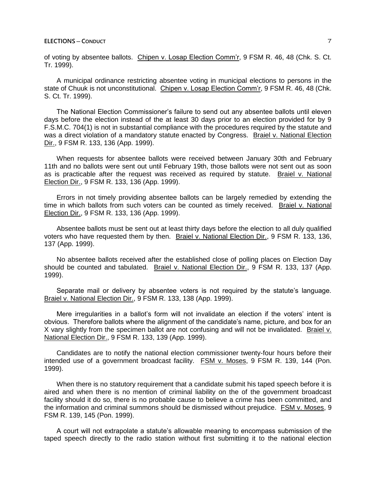of voting by absentee ballots. Chipen v. Losap Election Comm'r, 9 FSM R. 46, 48 (Chk. S. Ct. Tr. 1999).

A municipal ordinance restricting absentee voting in municipal elections to persons in the state of Chuuk is not unconstitutional. Chipen v. Losap Election Comm'r, 9 FSM R. 46, 48 (Chk. S. Ct. Tr. 1999).

The National Election Commissioner's failure to send out any absentee ballots until eleven days before the election instead of the at least 30 days prior to an election provided for by 9 F.S.M.C. 704(1) is not in substantial compliance with the procedures required by the statute and was a direct violation of a mandatory statute enacted by Congress. Braiel v. National Election Dir., 9 FSM R. 133, 136 (App. 1999).

When requests for absentee ballots were received between January 30th and February 11th and no ballots were sent out until February 19th, those ballots were not sent out as soon as is practicable after the request was received as required by statute. Braiel v. National Election Dir., 9 FSM R. 133, 136 (App. 1999).

Errors in not timely providing absentee ballots can be largely remedied by extending the time in which ballots from such voters can be counted as timely received. Braiel v. National Election Dir., 9 FSM R. 133, 136 (App. 1999).

Absentee ballots must be sent out at least thirty days before the election to all duly qualified voters who have requested them by then. Braiel v. National Election Dir., 9 FSM R. 133, 136, 137 (App. 1999).

No absentee ballots received after the established close of polling places on Election Day should be counted and tabulated. Braiel v. National Election Dir., 9 FSM R. 133, 137 (App. 1999).

Separate mail or delivery by absentee voters is not required by the statute's language. Braiel v. National Election Dir., 9 FSM R. 133, 138 (App. 1999).

Mere irregularities in a ballot's form will not invalidate an election if the voters' intent is obvious. Therefore ballots where the alignment of the candidate's name, picture, and box for an X vary slightly from the specimen ballot are not confusing and will not be invalidated. Braiel v. National Election Dir., 9 FSM R. 133, 139 (App. 1999).

Candidates are to notify the national election commissioner twenty-four hours before their intended use of a government broadcast facility. FSM v. Moses, 9 FSM R. 139, 144 (Pon. 1999).

When there is no statutory requirement that a candidate submit his taped speech before it is aired and when there is no mention of criminal liability on the of the government broadcast facility should it do so, there is no probable cause to believe a crime has been committed, and the information and criminal summons should be dismissed without prejudice. FSM v. Moses, 9 FSM R. 139, 145 (Pon. 1999).

A court will not extrapolate a statute's allowable meaning to encompass submission of the taped speech directly to the radio station without first submitting it to the national election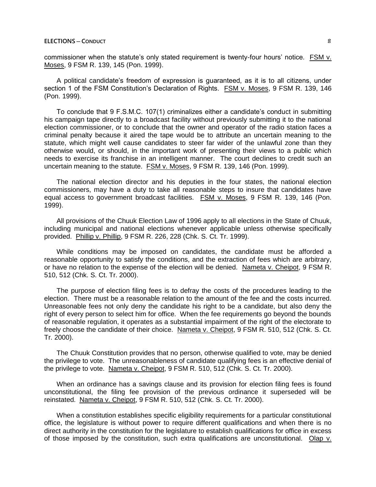commissioner when the statute's only stated requirement is twenty-four hours' notice. FSM v. Moses, 9 FSM R. 139, 145 (Pon. 1999).

A political candidate's freedom of expression is guaranteed, as it is to all citizens, under section 1 of the FSM Constitution's Declaration of Rights. FSM v. Moses, 9 FSM R. 139, 146 (Pon. 1999).

To conclude that 9 F.S.M.C. 107(1) criminalizes either a candidate's conduct in submitting his campaign tape directly to a broadcast facility without previously submitting it to the national election commissioner, or to conclude that the owner and operator of the radio station faces a criminal penalty because it aired the tape would be to attribute an uncertain meaning to the statute, which might well cause candidates to steer far wider of the unlawful zone than they otherwise would, or should, in the important work of presenting their views to a public which needs to exercise its franchise in an intelligent manner. The court declines to credit such an uncertain meaning to the statute. FSM v. Moses, 9 FSM R. 139, 146 (Pon. 1999).

The national election director and his deputies in the four states, the national election commissioners, may have a duty to take all reasonable steps to insure that candidates have equal access to government broadcast facilities. FSM v. Moses, 9 FSM R. 139, 146 (Pon. 1999).

All provisions of the Chuuk Election Law of 1996 apply to all elections in the State of Chuuk, including municipal and national elections whenever applicable unless otherwise specifically provided. Phillip v. Phillip, 9 FSM R. 226, 228 (Chk. S. Ct. Tr. 1999).

While conditions may be imposed on candidates, the candidate must be afforded a reasonable opportunity to satisfy the conditions, and the extraction of fees which are arbitrary, or have no relation to the expense of the election will be denied. Nameta v. Cheipot, 9 FSM R. 510, 512 (Chk. S. Ct. Tr. 2000).

The purpose of election filing fees is to defray the costs of the procedures leading to the election. There must be a reasonable relation to the amount of the fee and the costs incurred. Unreasonable fees not only deny the candidate his right to be a candidate, but also deny the right of every person to select him for office. When the fee requirements go beyond the bounds of reasonable regulation, it operates as a substantial impairment of the right of the electorate to freely choose the candidate of their choice. Nameta v. Cheipot, 9 FSM R. 510, 512 (Chk. S. Ct. Tr. 2000).

The Chuuk Constitution provides that no person, otherwise qualified to vote, may be denied the privilege to vote. The unreasonableness of candidate qualifying fees is an effective denial of the privilege to vote. Nameta v. Cheipot, 9 FSM R. 510, 512 (Chk. S. Ct. Tr. 2000).

When an ordinance has a savings clause and its provision for election filing fees is found unconstitutional, the filing fee provision of the previous ordinance it superseded will be reinstated. Nameta v. Cheipot, 9 FSM R. 510, 512 (Chk. S. Ct. Tr. 2000).

When a constitution establishes specific eligibility requirements for a particular constitutional office, the legislature is without power to require different qualifications and when there is no direct authority in the constitution for the legislature to establish qualifications for office in excess of those imposed by the constitution, such extra qualifications are unconstitutional. Olap v.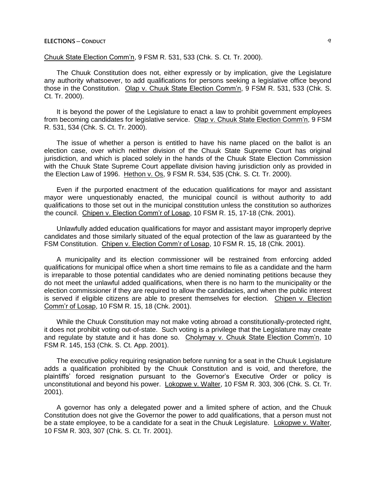### **ELECTIONS** — **CONDUCT** 9

Chuuk State Election Comm'n, 9 FSM R. 531, 533 (Chk. S. Ct. Tr. 2000).

The Chuuk Constitution does not, either expressly or by implication, give the Legislature any authority whatsoever, to add qualifications for persons seeking a legislative office beyond those in the Constitution. Olap v. Chuuk State Election Comm'n, 9 FSM R. 531, 533 (Chk. S. Ct. Tr. 2000).

It is beyond the power of the Legislature to enact a law to prohibit government employees from becoming candidates for legislative service. Olap v. Chuuk State Election Comm'n, 9 FSM R. 531, 534 (Chk. S. Ct. Tr. 2000).

The issue of whether a person is entitled to have his name placed on the ballot is an election case, over which neither division of the Chuuk State Supreme Court has original jurisdiction, and which is placed solely in the hands of the Chuuk State Election Commission with the Chuuk State Supreme Court appellate division having jurisdiction only as provided in the Election Law of 1996. Hethon v. Os, 9 FSM R. 534, 535 (Chk. S. Ct. Tr. 2000).

Even if the purported enactment of the education qualifications for mayor and assistant mayor were unquestionably enacted, the municipal council is without authority to add qualifications to those set out in the municipal constitution unless the constitution so authorizes the council. Chipen v. Election Comm'r of Losap, 10 FSM R. 15, 17-18 (Chk. 2001).

Unlawfully added education qualifications for mayor and assistant mayor improperly deprive candidates and those similarly situated of the equal protection of the law as guaranteed by the FSM Constitution. Chipen v. Election Comm'r of Losap, 10 FSM R. 15, 18 (Chk. 2001).

A municipality and its election commissioner will be restrained from enforcing added qualifications for municipal office when a short time remains to file as a candidate and the harm is irreparable to those potential candidates who are denied nominating petitions because they do not meet the unlawful added qualifications, when there is no harm to the municipality or the election commissioner if they are required to allow the candidacies, and when the public interest is served if eligible citizens are able to present themselves for election. Chipen v. Election Comm'r of Losap, 10 FSM R. 15, 18 (Chk. 2001).

While the Chuuk Constitution may not make voting abroad a constitutionally-protected right, it does not prohibit voting out-of-state. Such voting is a privilege that the Legislature may create and regulate by statute and it has done so. Cholymay v. Chuuk State Election Comm'n, 10 FSM R. 145, 153 (Chk. S. Ct. App. 2001).

The executive policy requiring resignation before running for a seat in the Chuuk Legislature adds a qualification prohibited by the Chuuk Constitution and is void, and therefore, the plaintiffs' forced resignation pursuant to the Governor's Executive Order or policy is unconstitutional and beyond his power. Lokopwe v. Walter, 10 FSM R. 303, 306 (Chk. S. Ct. Tr. 2001).

A governor has only a delegated power and a limited sphere of action, and the Chuuk Constitution does not give the Governor the power to add qualifications, that a person must not be a state employee, to be a candidate for a seat in the Chuuk Legislature. Lokopwe v. Walter, 10 FSM R. 303, 307 (Chk. S. Ct. Tr. 2001).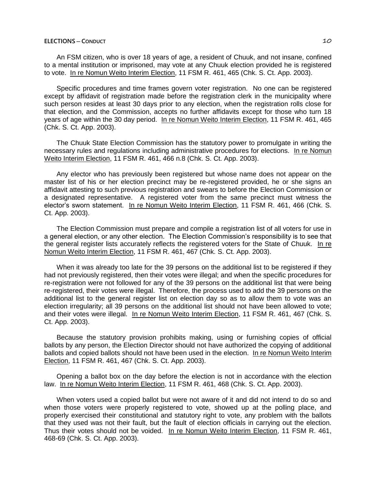# **ELECTIONS ─ CONDUCT** 10

An FSM citizen, who is over 18 years of age, a resident of Chuuk, and not insane, confined to a mental institution or imprisoned, may vote at any Chuuk election provided he is registered to vote. In re Nomun Weito Interim Election, 11 FSM R. 461, 465 (Chk. S. Ct. App. 2003).

Specific procedures and time frames govern voter registration. No one can be registered except by affidavit of registration made before the registration clerk in the municipality where such person resides at least 30 days prior to any election, when the registration rolls close for that election, and the Commission, accepts no further affidavits except for those who turn 18 years of age within the 30 day period. In re Nomun Weito Interim Election, 11 FSM R. 461, 465 (Chk. S. Ct. App. 2003).

The Chuuk State Election Commission has the statutory power to promulgate in writing the necessary rules and regulations including administrative procedures for elections. In re Nomun Weito Interim Election, 11 FSM R. 461, 466 n.8 (Chk. S. Ct. App. 2003).

Any elector who has previously been registered but whose name does not appear on the master list of his or her election precinct may be re-registered provided, he or she signs an affidavit attesting to such previous registration and swears to before the Election Commission or a designated representative. A registered voter from the same precinct must witness the elector's sworn statement. In re Nomun Weito Interim Election, 11 FSM R. 461, 466 (Chk. S. Ct. App. 2003).

The Election Commission must prepare and compile a registration list of all voters for use in a general election, or any other election. The Election Commission's responsibility is to see that the general register lists accurately reflects the registered voters for the State of Chuuk. In re Nomun Weito Interim Election, 11 FSM R. 461, 467 (Chk. S. Ct. App. 2003).

When it was already too late for the 39 persons on the additional list to be registered if they had not previously registered, then their votes were illegal; and when the specific procedures for re-registration were not followed for any of the 39 persons on the additional list that were being re-registered, their votes were illegal. Therefore, the process used to add the 39 persons on the additional list to the general register list on election day so as to allow them to vote was an election irregularity; all 39 persons on the additional list should not have been allowed to vote; and their votes were illegal. In re Nomun Weito Interim Election, 11 FSM R. 461, 467 (Chk. S. Ct. App. 2003).

Because the statutory provision prohibits making, using or furnishing copies of official ballots by any person, the Election Director should not have authorized the copying of additional ballots and copied ballots should not have been used in the election. In re Nomun Weito Interim Election, 11 FSM R. 461, 467 (Chk. S. Ct. App. 2003).

Opening a ballot box on the day before the election is not in accordance with the election law. In re Nomun Weito Interim Election, 11 FSM R. 461, 468 (Chk. S. Ct. App. 2003).

When voters used a copied ballot but were not aware of it and did not intend to do so and when those voters were properly registered to vote, showed up at the polling place, and properly exercised their constitutional and statutory right to vote, any problem with the ballots that they used was not their fault, but the fault of election officials in carrying out the election. Thus their votes should not be voided. In re Nomun Weito Interim Election, 11 FSM R. 461, 468-69 (Chk. S. Ct. App. 2003).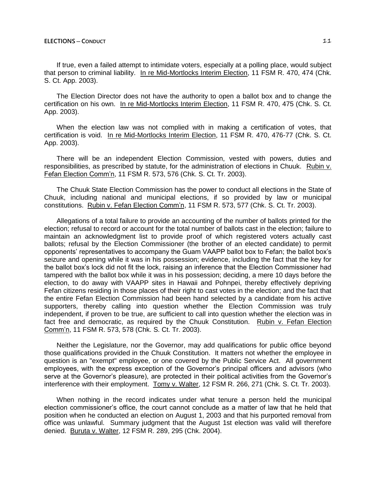If true, even a failed attempt to intimidate voters, especially at a polling place, would subject that person to criminal liability. In re Mid-Mortlocks Interim Election, 11 FSM R. 470, 474 (Chk. S. Ct. App. 2003).

The Election Director does not have the authority to open a ballot box and to change the certification on his own. In re Mid-Mortlocks Interim Election, 11 FSM R. 470, 475 (Chk. S. Ct. App. 2003).

When the election law was not complied with in making a certification of votes, that certification is void. In re Mid-Mortlocks Interim Election, 11 FSM R. 470, 476-77 (Chk. S. Ct. App. 2003).

There will be an independent Election Commission, vested with powers, duties and responsibilities, as prescribed by statute, for the administration of elections in Chuuk. Rubin v. Fefan Election Comm'n, 11 FSM R. 573, 576 (Chk. S. Ct. Tr. 2003).

The Chuuk State Election Commission has the power to conduct all elections in the State of Chuuk, including national and municipal elections, if so provided by law or municipal constitutions. Rubin v. Fefan Election Comm'n, 11 FSM R. 573, 577 (Chk. S. Ct. Tr. 2003).

Allegations of a total failure to provide an accounting of the number of ballots printed for the election; refusal to record or account for the total number of ballots cast in the election; failure to maintain an acknowledgment list to provide proof of which registered voters actually cast ballots; refusal by the Election Commissioner (the brother of an elected candidate) to permit opponents' representatives to accompany the Guam VAAPP ballot box to Fefan; the ballot box's seizure and opening while it was in his possession; evidence, including the fact that the key for the ballot box's lock did not fit the lock, raising an inference that the Election Commissioner had tampered with the ballot box while it was in his possession; deciding, a mere 10 days before the election, to do away with VAAPP sites in Hawaii and Pohnpei, thereby effectively depriving Fefan citizens residing in those places of their right to cast votes in the election; and the fact that the entire Fefan Election Commission had been hand selected by a candidate from his active supporters, thereby calling into question whether the Election Commission was truly independent, if proven to be true, are sufficient to call into question whether the election was in fact free and democratic, as required by the Chuuk Constitution. Rubin v. Fefan Election Comm'n, 11 FSM R. 573, 578 (Chk. S. Ct. Tr. 2003).

Neither the Legislature, nor the Governor, may add qualifications for public office beyond those qualifications provided in the Chuuk Constitution. It matters not whether the employee in question is an "exempt" employee, or one covered by the Public Service Act. All government employees, with the express exception of the Governor's principal officers and advisors (who serve at the Governor's pleasure), are protected in their political activities from the Governor's interference with their employment. Tomy v. Walter, 12 FSM R. 266, 271 (Chk. S. Ct. Tr. 2003).

When nothing in the record indicates under what tenure a person held the municipal election commissioner's office, the court cannot conclude as a matter of law that he held that position when he conducted an election on August 1, 2003 and that his purported removal from office was unlawful. Summary judgment that the August 1st election was valid will therefore denied. Buruta v. Walter, 12 FSM R. 289, 295 (Chk. 2004).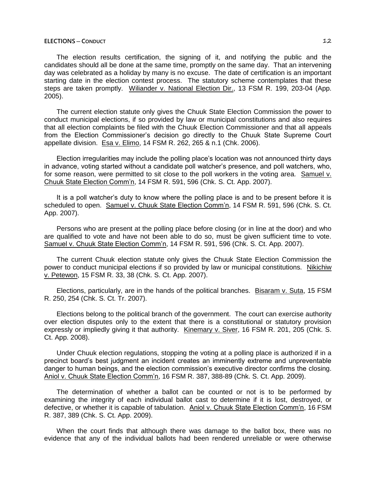## **ELECTIONS ─ CONDUCT** 12

The election results certification, the signing of it, and notifying the public and the candidates should all be done at the same time, promptly on the same day. That an intervening day was celebrated as a holiday by many is no excuse. The date of certification is an important starting date in the election contest process. The statutory scheme contemplates that these steps are taken promptly. Wiliander v. National Election Dir., 13 FSM R. 199, 203-04 (App. 2005).

The current election statute only gives the Chuuk State Election Commission the power to conduct municipal elections, if so provided by law or municipal constitutions and also requires that all election complaints be filed with the Chuuk Election Commissioner and that all appeals from the Election Commissioner's decision go directly to the Chuuk State Supreme Court appellate division. Esa v. Elimo, 14 FSM R. 262, 265 & n.1 (Chk. 2006).

Election irregularities may include the polling place's location was not announced thirty days in advance, voting started without a candidate poll watcher's presence, and poll watchers, who, for some reason, were permitted to sit close to the poll workers in the voting area. Samuel v. Chuuk State Election Comm'n, 14 FSM R. 591, 596 (Chk. S. Ct. App. 2007).

It is a poll watcher's duty to know where the polling place is and to be present before it is scheduled to open. Samuel v. Chuuk State Election Comm'n, 14 FSM R. 591, 596 (Chk. S. Ct. App. 2007).

Persons who are present at the polling place before closing (or in line at the door) and who are qualified to vote and have not been able to do so, must be given sufficient time to vote. Samuel v. Chuuk State Election Comm'n, 14 FSM R. 591, 596 (Chk. S. Ct. App. 2007).

The current Chuuk election statute only gives the Chuuk State Election Commission the power to conduct municipal elections if so provided by law or municipal constitutions. Nikichiw v. Petewon, 15 FSM R. 33, 38 (Chk. S. Ct. App. 2007).

Elections, particularly, are in the hands of the political branches. Bisaram v. Suta, 15 FSM R. 250, 254 (Chk. S. Ct. Tr. 2007).

Elections belong to the political branch of the government. The court can exercise authority over election disputes only to the extent that there is a constitutional or statutory provision expressly or impliedly giving it that authority. Kinemary v. Siver, 16 FSM R. 201, 205 (Chk. S. Ct. App. 2008).

Under Chuuk election regulations, stopping the voting at a polling place is authorized if in a precinct board's best judgment an incident creates an imminently extreme and unpreventable danger to human beings, and the election commission's executive director confirms the closing. Aniol v. Chuuk State Election Comm'n, 16 FSM R. 387, 388-89 (Chk. S. Ct. App. 2009).

The determination of whether a ballot can be counted or not is to be performed by examining the integrity of each individual ballot cast to determine if it is lost, destroyed, or defective, or whether it is capable of tabulation. Aniol v. Chuuk State Election Comm'n, 16 FSM R. 387, 389 (Chk. S. Ct. App. 2009).

When the court finds that although there was damage to the ballot box, there was no evidence that any of the individual ballots had been rendered unreliable or were otherwise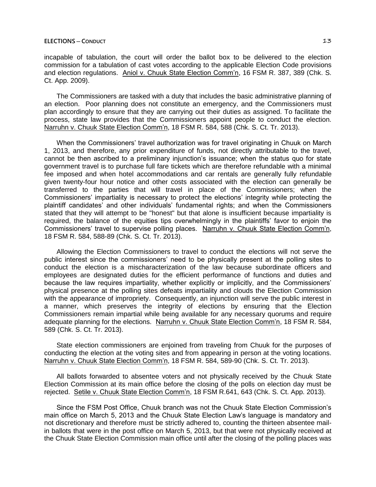incapable of tabulation, the court will order the ballot box to be delivered to the election commission for a tabulation of cast votes according to the applicable Election Code provisions and election regulations. Aniol v. Chuuk State Election Comm'n, 16 FSM R. 387, 389 (Chk. S. Ct. App. 2009).

The Commissioners are tasked with a duty that includes the basic administrative planning of an election. Poor planning does not constitute an emergency, and the Commissioners must plan accordingly to ensure that they are carrying out their duties as assigned. To facilitate the process, state law provides that the Commissioners appoint people to conduct the election. Narruhn v. Chuuk State Election Comm'n, 18 FSM R. 584, 588 (Chk. S. Ct. Tr. 2013).

When the Commissioners' travel authorization was for travel originating in Chuuk on March 1, 2013, and therefore, any prior expenditure of funds, not directly attributable to the travel, cannot be then ascribed to a preliminary injunction's issuance; when the status quo for state government travel is to purchase full fare tickets which are therefore refundable with a minimal fee imposed and when hotel accommodations and car rentals are generally fully refundable given twenty-four hour notice and other costs associated with the election can generally be transferred to the parties that will travel in place of the Commissioners; when the Commissioners' impartiality is necessary to protect the elections' integrity while protecting the plaintiff candidates' and other individuals' fundamental rights; and when the Commissioners stated that they will attempt to be "honest" but that alone is insufficient because impartiality is required, the balance of the equities tips overwhelmingly in the plaintiffs' favor to enjoin the Commissioners' travel to supervise polling places. Narruhn v. Chuuk State Election Comm'n, 18 FSM R. 584, 588-89 (Chk. S. Ct. Tr. 2013).

Allowing the Election Commissioners to travel to conduct the elections will not serve the public interest since the commissioners' need to be physically present at the polling sites to conduct the election is a mischaracterization of the law because subordinate officers and employees are designated duties for the efficient performance of functions and duties and because the law requires impartiality, whether explicitly or implicitly, and the Commissioners' physical presence at the polling sites defeats impartiality and clouds the Election Commission with the appearance of impropriety. Consequently, an injunction will serve the public interest in a manner, which preserves the integrity of elections by ensuring that the Election Commissioners remain impartial while being available for any necessary quorums and require adequate planning for the elections. Narruhn v. Chuuk State Election Comm'n, 18 FSM R. 584, 589 (Chk. S. Ct. Tr. 2013).

State election commissioners are enjoined from traveling from Chuuk for the purposes of conducting the election at the voting sites and from appearing in person at the voting locations. Narruhn v. Chuuk State Election Comm'n, 18 FSM R. 584, 589-90 (Chk. S. Ct. Tr. 2013).

All ballots forwarded to absentee voters and not physically received by the Chuuk State Election Commission at its main office before the closing of the polls on election day must be rejected. Setile v. Chuuk State Election Comm'n, 18 FSM R.641, 643 (Chk. S. Ct. App. 2013).

Since the FSM Post Office, Chuuk branch was not the Chuuk State Election Commission's main office on March 5, 2013 and the Chuuk State Election Law's language is mandatory and not discretionary and therefore must be strictly adhered to, counting the thirteen absentee mailin ballots that were in the post office on March 5, 2013, but that were not physically received at the Chuuk State Election Commission main office until after the closing of the polling places was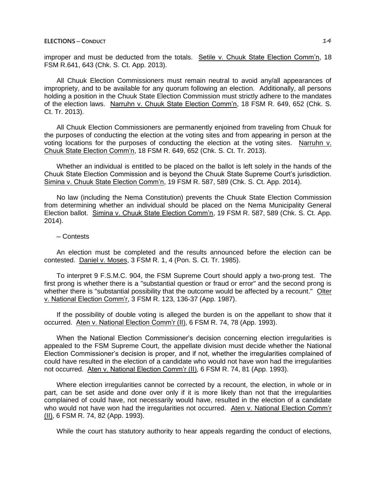improper and must be deducted from the totals. Setile v. Chuuk State Election Comm'n, 18 FSM R.641, 643 (Chk. S. Ct. App. 2013).

All Chuuk Election Commissioners must remain neutral to avoid any/all appearances of impropriety, and to be available for any quorum following an election. Additionally, all persons holding a position in the Chuuk State Election Commission must strictly adhere to the mandates of the election laws. Narruhn v. Chuuk State Election Comm'n, 18 FSM R. 649, 652 (Chk. S. Ct. Tr. 2013).

All Chuuk Election Commissioners are permanently enjoined from traveling from Chuuk for the purposes of conducting the election at the voting sites and from appearing in person at the voting locations for the purposes of conducting the election at the voting sites. Narruhn v. Chuuk State Election Comm'n, 18 FSM R. 649, 652 (Chk. S. Ct. Tr. 2013).

Whether an individual is entitled to be placed on the ballot is left solely in the hands of the Chuuk State Election Commission and is beyond the Chuuk State Supreme Court's jurisdiction. Simina v. Chuuk State Election Comm'n, 19 FSM R. 587, 589 (Chk. S. Ct. App. 2014).

No law (including the Nema Constitution) prevents the Chuuk State Election Commission from determining whether an individual should be placed on the Nema Municipality General Election ballot. Simina v. Chuuk State Election Comm'n, 19 FSM R. 587, 589 (Chk. S. Ct. App. 2014).

### ─ Contests

An election must be completed and the results announced before the election can be contested. Daniel v. Moses, 3 FSM R. 1, 4 (Pon. S. Ct. Tr. 1985).

To interpret 9 F.S.M.C. 904, the FSM Supreme Court should apply a two-prong test. The first prong is whether there is a "substantial question or fraud or error" and the second prong is whether there is "substantial possibility that the outcome would be affected by a recount." Olter v. National Election Comm'r, 3 FSM R. 123, 136-37 (App. 1987).

If the possibility of double voting is alleged the burden is on the appellant to show that it occurred. Aten v. National Election Comm'r (II), 6 FSM R. 74, 78 (App. 1993).

When the National Election Commissioner's decision concerning election irregularities is appealed to the FSM Supreme Court, the appellate division must decide whether the National Election Commissioner's decision is proper, and if not, whether the irregularities complained of could have resulted in the election of a candidate who would not have won had the irregularities not occurred. Aten v. National Election Comm'r (II), 6 FSM R. 74, 81 (App. 1993).

Where election irregularities cannot be corrected by a recount, the election, in whole or in part, can be set aside and done over only if it is more likely than not that the irregularities complained of could have, not necessarily would have, resulted in the election of a candidate who would not have won had the irregularities not occurred. Aten v. National Election Comm'r (II), 6 FSM R. 74, 82 (App. 1993).

While the court has statutory authority to hear appeals regarding the conduct of elections,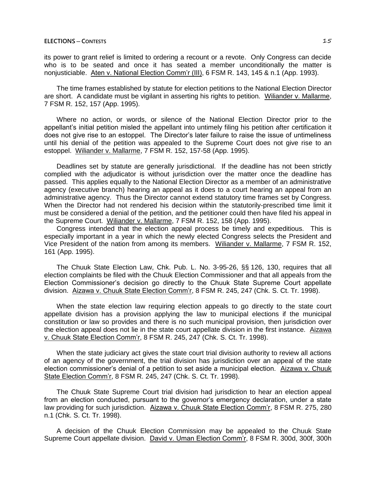its power to grant relief is limited to ordering a recount or a revote. Only Congress can decide who is to be seated and once it has seated a member unconditionally the matter is nonjusticiable. Aten v. National Election Comm'r (III), 6 FSM R. 143, 145 & n.1 (App. 1993).

The time frames established by statute for election petitions to the National Election Director are short. A candidate must be vigilant in asserting his rights to petition. Wiliander v. Mallarme, 7 FSM R. 152, 157 (App. 1995).

Where no action, or words, or silence of the National Election Director prior to the appellant's initial petition misled the appellant into untimely filing his petition after certification it does not give rise to an estoppel. The Director's later failure to raise the issue of untimeliness until his denial of the petition was appealed to the Supreme Court does not give rise to an estoppel. Wiliander v. Mallarme, 7 FSM R. 152, 157-58 (App. 1995).

Deadlines set by statute are generally jurisdictional. If the deadline has not been strictly complied with the adjudicator is without jurisdiction over the matter once the deadline has passed. This applies equally to the National Election Director as a member of an administrative agency (executive branch) hearing an appeal as it does to a court hearing an appeal from an administrative agency. Thus the Director cannot extend statutory time frames set by Congress. When the Director had not rendered his decision within the statutorily-prescribed time limit it must be considered a denial of the petition, and the petitioner could then have filed his appeal in the Supreme Court. Wiliander v. Mallarme, 7 FSM R. 152, 158 (App. 1995).

Congress intended that the election appeal process be timely and expeditious. This is especially important in a year in which the newly elected Congress selects the President and Vice President of the nation from among its members. Wiliander v. Mallarme, 7 FSM R. 152, 161 (App. 1995).

The Chuuk State Election Law, Chk. Pub. L. No. 3-95-26, §§ 126, 130, requires that all election complaints be filed with the Chuuk Election Commissioner and that all appeals from the Election Commissioner's decision go directly to the Chuuk State Supreme Court appellate division. Aizawa v. Chuuk State Election Comm'r, 8 FSM R. 245, 247 (Chk. S. Ct. Tr. 1998).

When the state election law requiring election appeals to go directly to the state court appellate division has a provision applying the law to municipal elections if the municipal constitution or law so provides and there is no such municipal provision, then jurisdiction over the election appeal does not lie in the state court appellate division in the first instance. Aizawa v. Chuuk State Election Comm'r, 8 FSM R. 245, 247 (Chk. S. Ct. Tr. 1998).

When the state judiciary act gives the state court trial division authority to review all actions of an agency of the government, the trial division has jurisdiction over an appeal of the state election commissioner's denial of a petition to set aside a municipal election. Aizawa v. Chuuk State Election Comm'r, 8 FSM R. 245, 247 (Chk. S. Ct. Tr. 1998).

The Chuuk State Supreme Court trial division had jurisdiction to hear an election appeal from an election conducted, pursuant to the governor's emergency declaration, under a state law providing for such jurisdiction. Aizawa v. Chuuk State Election Comm'r, 8 FSM R. 275, 280 n.1 (Chk. S. Ct. Tr. 1998).

A decision of the Chuuk Election Commission may be appealed to the Chuuk State Supreme Court appellate division. David v. Uman Election Comm'r, 8 FSM R. 300d, 300f, 300h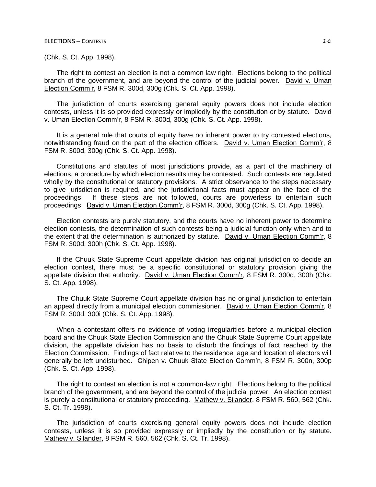(Chk. S. Ct. App. 1998).

The right to contest an election is not a common law right. Elections belong to the political branch of the government, and are beyond the control of the judicial power. David v. Uman Election Comm'r, 8 FSM R. 300d, 300g (Chk. S. Ct. App. 1998).

The jurisdiction of courts exercising general equity powers does not include election contests, unless it is so provided expressly or impliedly by the constitution or by statute. David v. Uman Election Comm'r, 8 FSM R. 300d, 300g (Chk. S. Ct. App. 1998).

It is a general rule that courts of equity have no inherent power to try contested elections, notwithstanding fraud on the part of the election officers. David v. Uman Election Comm'r, 8 FSM R. 300d, 300g (Chk. S. Ct. App. 1998).

Constitutions and statutes of most jurisdictions provide, as a part of the machinery of elections, a procedure by which election results may be contested. Such contests are regulated wholly by the constitutional or statutory provisions. A strict observance to the steps necessary to give jurisdiction is required, and the jurisdictional facts must appear on the face of the proceedings. If these steps are not followed, courts are powerless to entertain such proceedings. David v. Uman Election Comm'r, 8 FSM R. 300d, 300g (Chk. S. Ct. App. 1998).

Election contests are purely statutory, and the courts have no inherent power to determine election contests, the determination of such contests being a judicial function only when and to the extent that the determination is authorized by statute. David v. Uman Election Comm'r, 8 FSM R. 300d, 300h (Chk. S. Ct. App. 1998).

If the Chuuk State Supreme Court appellate division has original jurisdiction to decide an election contest, there must be a specific constitutional or statutory provision giving the appellate division that authority. David v. Uman Election Comm'r, 8 FSM R. 300d, 300h (Chk. S. Ct. App. 1998).

The Chuuk State Supreme Court appellate division has no original jurisdiction to entertain an appeal directly from a municipal election commissioner. David v. Uman Election Comm'r, 8 FSM R. 300d, 300i (Chk. S. Ct. App. 1998).

When a contestant offers no evidence of voting irregularities before a municipal election board and the Chuuk State Election Commission and the Chuuk State Supreme Court appellate division, the appellate division has no basis to disturb the findings of fact reached by the Election Commission. Findings of fact relative to the residence, age and location of electors will generally be left undisturbed. Chipen v. Chuuk State Election Comm'n, 8 FSM R. 300n, 300p (Chk. S. Ct. App. 1998).

The right to contest an election is not a common-law right. Elections belong to the political branch of the government, and are beyond the control of the judicial power. An election contest is purely a constitutional or statutory proceeding. Mathew v. Silander, 8 FSM R. 560, 562 (Chk. S. Ct. Tr. 1998).

The jurisdiction of courts exercising general equity powers does not include election contests, unless it is so provided expressly or impliedly by the constitution or by statute. Mathew v. Silander, 8 FSM R. 560, 562 (Chk. S. Ct. Tr. 1998).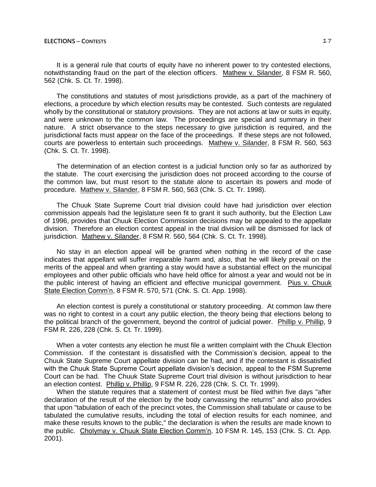It is a general rule that courts of equity have no inherent power to try contested elections. notwithstanding fraud on the part of the election officers. Mathew v. Silander, 8 FSM R. 560, 562 (Chk. S. Ct. Tr. 1998).

The constitutions and statutes of most jurisdictions provide, as a part of the machinery of elections, a procedure by which election results may be contested. Such contests are regulated wholly by the constitutional or statutory provisions. They are not actions at law or suits in equity, and were unknown to the common law. The proceedings are special and summary in their nature. A strict observance to the steps necessary to give jurisdiction is required, and the jurisdictional facts must appear on the face of the proceedings. If these steps are not followed, courts are powerless to entertain such proceedings. Mathew v. Silander, 8 FSM R. 560, 563 (Chk. S. Ct. Tr. 1998).

The determination of an election contest is a judicial function only so far as authorized by the statute. The court exercising the jurisdiction does not proceed according to the course of the common law, but must resort to the statute alone to ascertain its powers and mode of procedure. Mathew v. Silander, 8 FSM R. 560, 563 (Chk. S. Ct. Tr. 1998).

The Chuuk State Supreme Court trial division could have had jurisdiction over election commission appeals had the legislature seen fit to grant it such authority, but the Election Law of 1996, provides that Chuuk Election Commission decisions may be appealed to the appellate division. Therefore an election contest appeal in the trial division will be dismissed for lack of jurisdiction. Mathew v. Silander, 8 FSM R. 560, 564 (Chk. S. Ct. Tr. 1998).

No stay in an election appeal will be granted when nothing in the record of the case indicates that appellant will suffer irreparable harm and, also, that he will likely prevail on the merits of the appeal and when granting a stay would have a substantial effect on the municipal employees and other public officials who have held office for almost a year and would not be in the public interest of having an efficient and effective municipal government. Pius v. Chuuk State Election Comm'n, 8 FSM R. 570, 571 (Chk. S. Ct. App. 1998).

An election contest is purely a constitutional or statutory proceeding. At common law there was no right to contest in a court any public election, the theory being that elections belong to the political branch of the government, beyond the control of judicial power. Phillip v. Phillip, 9 FSM R. 226, 228 (Chk. S. Ct. Tr. 1999).

When a voter contests any election he must file a written complaint with the Chuuk Election Commission. If the contestant is dissatisfied with the Commission's decision, appeal to the Chuuk State Supreme Court appellate division can be had, and if the contestant is dissatisfied with the Chuuk State Supreme Court appellate division's decision, appeal to the FSM Supreme Court can be had. The Chuuk State Supreme Court trial division is without jurisdiction to hear an election contest. Phillip v. Phillip, 9 FSM R. 226, 228 (Chk. S. Ct. Tr. 1999).

When the statute requires that a statement of contest must be filed within five days "after declaration of the result of the election by the body canvassing the returns" and also provides that upon "tabulation of each of the precinct votes, the Commission shall tabulate or cause to be tabulated the cumulative results, including the total of election results for each nominee, and make these results known to the public," the declaration is when the results are made known to the public. Cholymay v. Chuuk State Election Comm'n, 10 FSM R. 145, 153 (Chk. S. Ct. App. 2001).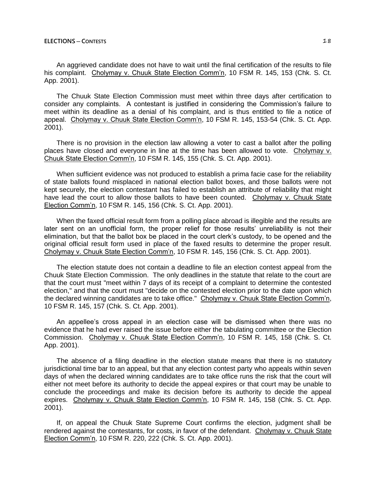An aggrieved candidate does not have to wait until the final certification of the results to file his complaint. Cholymay v. Chuuk State Election Comm'n, 10 FSM R. 145, 153 (Chk. S. Ct. App. 2001).

The Chuuk State Election Commission must meet within three days after certification to consider any complaints. A contestant is justified in considering the Commission's failure to meet within its deadline as a denial of his complaint, and is thus entitled to file a notice of appeal. Cholymay v. Chuuk State Election Comm'n, 10 FSM R. 145, 153-54 (Chk. S. Ct. App. 2001).

There is no provision in the election law allowing a voter to cast a ballot after the polling places have closed and everyone in line at the time has been allowed to vote. Cholymay v. Chuuk State Election Comm'n, 10 FSM R. 145, 155 (Chk. S. Ct. App. 2001).

When sufficient evidence was not produced to establish a prima facie case for the reliability of state ballots found misplaced in national election ballot boxes, and those ballots were not kept securely, the election contestant has failed to establish an attribute of reliability that might have lead the court to allow those ballots to have been counted. Cholymay v. Chuuk State Election Comm'n, 10 FSM R. 145, 156 (Chk. S. Ct. App. 2001).

When the faxed official result form from a polling place abroad is illegible and the results are later sent on an unofficial form, the proper relief for those results' unreliability is not their elimination, but that the ballot box be placed in the court clerk's custody, to be opened and the original official result form used in place of the faxed results to determine the proper result. Cholymay v. Chuuk State Election Comm'n, 10 FSM R. 145, 156 (Chk. S. Ct. App. 2001).

The election statute does not contain a deadline to file an election contest appeal from the Chuuk State Election Commission. The only deadlines in the statute that relate to the court are that the court must "meet within 7 days of its receipt of a complaint to determine the contested election," and that the court must "decide on the contested election prior to the date upon which the declared winning candidates are to take office." Cholymay v. Chuuk State Election Comm'n, 10 FSM R. 145, 157 (Chk. S. Ct. App. 2001).

An appellee's cross appeal in an election case will be dismissed when there was no evidence that he had ever raised the issue before either the tabulating committee or the Election Commission. Cholymay v. Chuuk State Election Comm'n, 10 FSM R. 145, 158 (Chk. S. Ct. App. 2001).

The absence of a filing deadline in the election statute means that there is no statutory jurisdictional time bar to an appeal, but that any election contest party who appeals within seven days of when the declared winning candidates are to take office runs the risk that the court will either not meet before its authority to decide the appeal expires or that court may be unable to conclude the proceedings and make its decision before its authority to decide the appeal expires. Cholymay v. Chuuk State Election Comm'n, 10 FSM R. 145, 158 (Chk. S. Ct. App. 2001).

If, on appeal the Chuuk State Supreme Court confirms the election, judgment shall be rendered against the contestants, for costs, in favor of the defendant. Cholymay v. Chuuk State Election Comm'n, 10 FSM R. 220, 222 (Chk. S. Ct. App. 2001).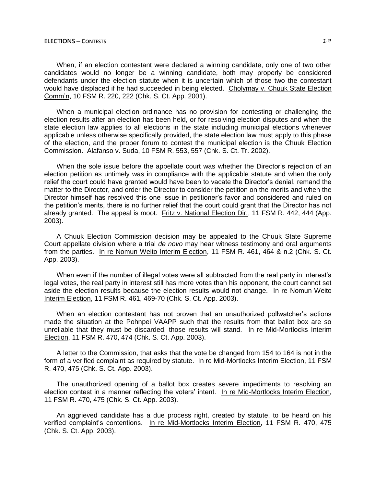When, if an election contestant were declared a winning candidate, only one of two other candidates would no longer be a winning candidate, both may properly be considered defendants under the election statute when it is uncertain which of those two the contestant would have displaced if he had succeeded in being elected. Cholymay v. Chuuk State Election Comm'n, 10 FSM R. 220, 222 (Chk. S. Ct. App. 2001).

When a municipal election ordinance has no provision for contesting or challenging the election results after an election has been held, or for resolving election disputes and when the state election law applies to all elections in the state including municipal elections whenever applicable unless otherwise specifically provided, the state election law must apply to this phase of the election, and the proper forum to contest the municipal election is the Chuuk Election Commission. Alafanso v. Suda, 10 FSM R. 553, 557 (Chk. S. Ct. Tr. 2002).

When the sole issue before the appellate court was whether the Director's rejection of an election petition as untimely was in compliance with the applicable statute and when the only relief the court could have granted would have been to vacate the Director's denial, remand the matter to the Director, and order the Director to consider the petition on the merits and when the Director himself has resolved this one issue in petitioner's favor and considered and ruled on the petition's merits, there is no further relief that the court could grant that the Director has not already granted. The appeal is moot. Fritz v. National Election Dir., 11 FSM R. 442, 444 (App. 2003).

A Chuuk Election Commission decision may be appealed to the Chuuk State Supreme Court appellate division where a trial *de novo* may hear witness testimony and oral arguments from the parties. In re Nomun Weito Interim Election, 11 FSM R. 461, 464 & n.2 (Chk. S. Ct. App. 2003).

When even if the number of illegal votes were all subtracted from the real party in interest's legal votes, the real party in interest still has more votes than his opponent, the court cannot set aside the election results because the election results would not change. In re Nomun Weito Interim Election, 11 FSM R. 461, 469-70 (Chk. S. Ct. App. 2003).

When an election contestant has not proven that an unauthorized pollwatcher's actions made the situation at the Pohnpei VAAPP such that the results from that ballot box are so unreliable that they must be discarded, those results will stand. In re Mid-Mortlocks Interim Election, 11 FSM R. 470, 474 (Chk. S. Ct. App. 2003).

A letter to the Commission, that asks that the vote be changed from 154 to 164 is not in the form of a verified complaint as required by statute. In re Mid-Mortlocks Interim Election, 11 FSM R. 470, 475 (Chk. S. Ct. App. 2003).

The unauthorized opening of a ballot box creates severe impediments to resolving an election contest in a manner reflecting the voters' intent. In re Mid-Mortlocks Interim Election, 11 FSM R. 470, 475 (Chk. S. Ct. App. 2003).

An aggrieved candidate has a due process right, created by statute, to be heard on his verified complaint's contentions. In re Mid-Mortlocks Interim Election, 11 FSM R. 470, 475 (Chk. S. Ct. App. 2003).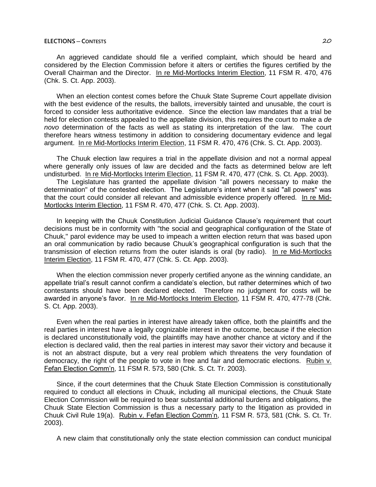An aggrieved candidate should file a verified complaint, which should be heard and considered by the Election Commission before it alters or certifies the figures certified by the Overall Chairman and the Director. In re Mid-Mortlocks Interim Election, 11 FSM R. 470, 476 (Chk. S. Ct. App. 2003).

When an election contest comes before the Chuuk State Supreme Court appellate division with the best evidence of the results, the ballots, irreversibly tainted and unusable, the court is forced to consider less authoritative evidence. Since the election law mandates that a trial be held for election contests appealed to the appellate division, this requires the court to make a *de novo* determination of the facts as well as stating its interpretation of the law. The court therefore hears witness testimony in addition to considering documentary evidence and legal argument. In re Mid-Mortlocks Interim Election, 11 FSM R. 470, 476 (Chk. S. Ct. App. 2003).

The Chuuk election law requires a trial in the appellate division and not a normal appeal where generally only issues of law are decided and the facts as determined below are left undisturbed. In re Mid-Mortlocks Interim Election, 11 FSM R. 470, 477 (Chk. S. Ct. App. 2003).

The Legislature has granted the appellate division "all powers necessary to make the determination" of the contested election. The Legislature's intent when it said "all powers" was that the court could consider all relevant and admissible evidence properly offered. In re Mid-Mortlocks Interim Election, 11 FSM R. 470, 477 (Chk. S. Ct. App. 2003).

In keeping with the Chuuk Constitution Judicial Guidance Clause's requirement that court decisions must be in conformity with "the social and geographical configuration of the State of Chuuk," parol evidence may be used to impeach a written election return that was based upon an oral communication by radio because Chuuk's geographical configuration is such that the transmission of election returns from the outer islands is oral (by radio). In re Mid-Mortlocks Interim Election, 11 FSM R. 470, 477 (Chk. S. Ct. App. 2003).

When the election commission never properly certified anyone as the winning candidate, an appellate trial's result cannot confirm a candidate's election, but rather determines which of two contestants should have been declared elected. Therefore no judgment for costs will be awarded in anyone's favor. In re Mid-Mortlocks Interim Election, 11 FSM R. 470, 477-78 (Chk. S. Ct. App. 2003).

Even when the real parties in interest have already taken office, both the plaintiffs and the real parties in interest have a legally cognizable interest in the outcome, because if the election is declared unconstitutionally void, the plaintiffs may have another chance at victory and if the election is declared valid, then the real parties in interest may savor their victory and because it is not an abstract dispute, but a very real problem which threatens the very foundation of democracy, the right of the people to vote in free and fair and democratic elections. Rubin v. Fefan Election Comm'n, 11 FSM R. 573, 580 (Chk. S. Ct. Tr. 2003).

Since, if the court determines that the Chuuk State Election Commission is constitutionally required to conduct all elections in Chuuk, including all municipal elections, the Chuuk State Election Commission will be required to bear substantial additional burdens and obligations, the Chuuk State Election Commission is thus a necessary party to the litigation as provided in Chuuk Civil Rule 19(a). Rubin v. Fefan Election Comm'n, 11 FSM R. 573, 581 (Chk. S. Ct. Tr. 2003).

A new claim that constitutionally only the state election commission can conduct municipal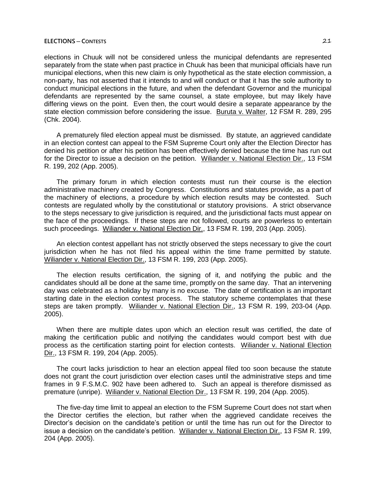elections in Chuuk will not be considered unless the municipal defendants are represented separately from the state when past practice in Chuuk has been that municipal officials have run municipal elections, when this new claim is only hypothetical as the state election commission, a non-party, has not asserted that it intends to and will conduct or that it has the sole authority to conduct municipal elections in the future, and when the defendant Governor and the municipal defendants are represented by the same counsel, a state employee, but may likely have differing views on the point. Even then, the court would desire a separate appearance by the state election commission before considering the issue. Buruta v. Walter, 12 FSM R. 289, 295 (Chk. 2004).

A prematurely filed election appeal must be dismissed. By statute, an aggrieved candidate in an election contest can appeal to the FSM Supreme Court only after the Election Director has denied his petition or after his petition has been effectively denied because the time has run out for the Director to issue a decision on the petition. Wiliander v. National Election Dir., 13 FSM R. 199, 202 (App. 2005).

The primary forum in which election contests must run their course is the election administrative machinery created by Congress. Constitutions and statutes provide, as a part of the machinery of elections, a procedure by which election results may be contested. Such contests are regulated wholly by the constitutional or statutory provisions. A strict observance to the steps necessary to give jurisdiction is required, and the jurisdictional facts must appear on the face of the proceedings. If these steps are not followed, courts are powerless to entertain such proceedings. Wiliander v. National Election Dir., 13 FSM R. 199, 203 (App. 2005).

An election contest appellant has not strictly observed the steps necessary to give the court jurisdiction when he has not filed his appeal within the time frame permitted by statute. Wiliander v. National Election Dir., 13 FSM R. 199, 203 (App. 2005).

The election results certification, the signing of it, and notifying the public and the candidates should all be done at the same time, promptly on the same day. That an intervening day was celebrated as a holiday by many is no excuse. The date of certification is an important starting date in the election contest process. The statutory scheme contemplates that these steps are taken promptly. Wiliander v. National Election Dir., 13 FSM R. 199, 203-04 (App. 2005).

When there are multiple dates upon which an election result was certified, the date of making the certification public and notifying the candidates would comport best with due process as the certification starting point for election contests. Wiliander v. National Election Dir., 13 FSM R. 199, 204 (App. 2005).

The court lacks jurisdiction to hear an election appeal filed too soon because the statute does not grant the court jurisdiction over election cases until the administrative steps and time frames in 9 F.S.M.C. 902 have been adhered to. Such an appeal is therefore dismissed as premature (unripe). Wiliander v. National Election Dir., 13 FSM R. 199, 204 (App. 2005).

The five-day time limit to appeal an election to the FSM Supreme Court does not start when the Director certifies the election, but rather when the aggrieved candidate receives the Director's decision on the candidate's petition or until the time has run out for the Director to issue a decision on the candidate's petition. Wiliander v. National Election Dir., 13 FSM R. 199, 204 (App. 2005).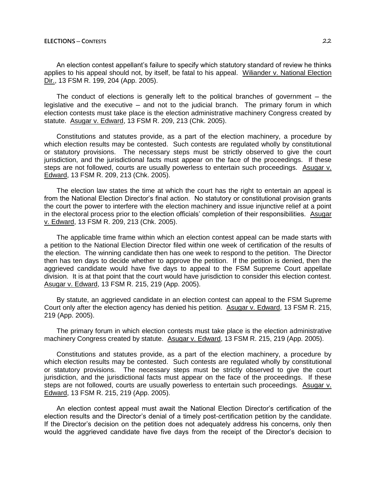An election contest appellant's failure to specify which statutory standard of review he thinks applies to his appeal should not, by itself, be fatal to his appeal. Wiliander v. National Election Dir., 13 FSM R. 199, 204 (App. 2005).

The conduct of elections is generally left to the political branches of government  $-$  the legislative and the executive  $-$  and not to the judicial branch. The primary forum in which election contests must take place is the election administrative machinery Congress created by statute. Asugar v. Edward, 13 FSM R. 209, 213 (Chk. 2005).

Constitutions and statutes provide, as a part of the election machinery, a procedure by which election results may be contested. Such contests are regulated wholly by constitutional or statutory provisions. The necessary steps must be strictly observed to give the court jurisdiction, and the jurisdictional facts must appear on the face of the proceedings. If these steps are not followed, courts are usually powerless to entertain such proceedings. Asugar v. Edward, 13 FSM R. 209, 213 (Chk. 2005).

The election law states the time at which the court has the right to entertain an appeal is from the National Election Director's final action. No statutory or constitutional provision grants the court the power to interfere with the election machinery and issue injunctive relief at a point in the electoral process prior to the election officials' completion of their responsibilities. Asugar v. Edward, 13 FSM R. 209, 213 (Chk. 2005).

The applicable time frame within which an election contest appeal can be made starts with a petition to the National Election Director filed within one week of certification of the results of the election. The winning candidate then has one week to respond to the petition. The Director then has ten days to decide whether to approve the petition. If the petition is denied, then the aggrieved candidate would have five days to appeal to the FSM Supreme Court appellate division. It is at that point that the court would have jurisdiction to consider this election contest. Asugar v. Edward, 13 FSM R. 215, 219 (App. 2005).

By statute, an aggrieved candidate in an election contest can appeal to the FSM Supreme Court only after the election agency has denied his petition. Asugar v. Edward, 13 FSM R. 215, 219 (App. 2005).

The primary forum in which election contests must take place is the election administrative machinery Congress created by statute. Asugar v. Edward, 13 FSM R. 215, 219 (App. 2005).

Constitutions and statutes provide, as a part of the election machinery, a procedure by which election results may be contested. Such contests are regulated wholly by constitutional or statutory provisions. The necessary steps must be strictly observed to give the court jurisdiction, and the jurisdictional facts must appear on the face of the proceedings. If these steps are not followed, courts are usually powerless to entertain such proceedings. Asugar v. Edward, 13 FSM R. 215, 219 (App. 2005).

An election contest appeal must await the National Election Director's certification of the election results and the Director's denial of a timely post-certification petition by the candidate. If the Director's decision on the petition does not adequately address his concerns, only then would the aggrieved candidate have five days from the receipt of the Director's decision to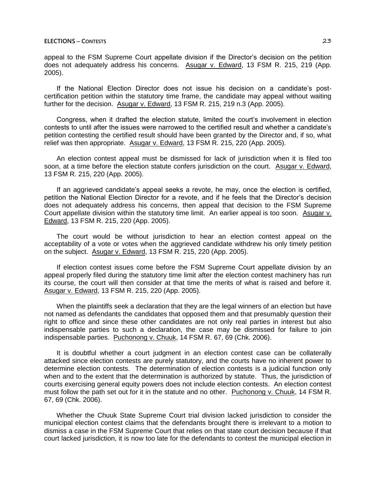appeal to the FSM Supreme Court appellate division if the Director's decision on the petition does not adequately address his concerns. Asugar v. Edward, 13 FSM R. 215, 219 (App. 2005).

If the National Election Director does not issue his decision on a candidate's postcertification petition within the statutory time frame, the candidate may appeal without waiting further for the decision. Asugar v. Edward, 13 FSM R. 215, 219 n.3 (App. 2005).

Congress, when it drafted the election statute, limited the court's involvement in election contests to until after the issues were narrowed to the certified result and whether a candidate's petition contesting the certified result should have been granted by the Director and, if so, what relief was then appropriate. Asugar v. Edward, 13 FSM R. 215, 220 (App. 2005).

An election contest appeal must be dismissed for lack of jurisdiction when it is filed too soon, at a time before the election statute confers jurisdiction on the court. Asugar v. Edward, 13 FSM R. 215, 220 (App. 2005).

If an aggrieved candidate's appeal seeks a revote, he may, once the election is certified, petition the National Election Director for a revote, and if he feels that the Director's decision does not adequately address his concerns, then appeal that decision to the FSM Supreme Court appellate division within the statutory time limit. An earlier appeal is too soon. Asugar v. Edward, 13 FSM R. 215, 220 (App. 2005).

The court would be without jurisdiction to hear an election contest appeal on the acceptability of a vote or votes when the aggrieved candidate withdrew his only timely petition on the subject. Asugar v. Edward, 13 FSM R. 215, 220 (App. 2005).

If election contest issues come before the FSM Supreme Court appellate division by an appeal properly filed during the statutory time limit after the election contest machinery has run its course, the court will then consider at that time the merits of what is raised and before it. Asugar v. Edward, 13 FSM R. 215, 220 (App. 2005).

When the plaintiffs seek a declaration that they are the legal winners of an election but have not named as defendants the candidates that opposed them and that presumably question their right to office and since these other candidates are not only real parties in interest but also indispensable parties to such a declaration, the case may be dismissed for failure to join indispensable parties. Puchonong v. Chuuk, 14 FSM R. 67, 69 (Chk. 2006).

It is doubtful whether a court judgment in an election contest case can be collaterally attacked since election contests are purely statutory, and the courts have no inherent power to determine election contests. The determination of election contests is a judicial function only when and to the extent that the determination is authorized by statute. Thus, the jurisdiction of courts exercising general equity powers does not include election contests. An election contest must follow the path set out for it in the statute and no other. Puchonong v. Chuuk, 14 FSM R. 67, 69 (Chk. 2006).

Whether the Chuuk State Supreme Court trial division lacked jurisdiction to consider the municipal election contest claims that the defendants brought there is irrelevant to a motion to dismiss a case in the FSM Supreme Court that relies on that state court decision because if that court lacked jurisdiction, it is now too late for the defendants to contest the municipal election in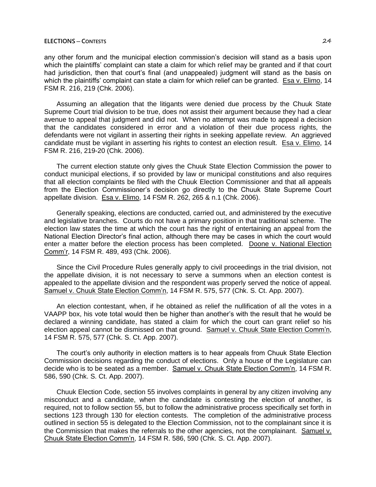any other forum and the municipal election commission's decision will stand as a basis upon which the plaintiffs' complaint can state a claim for which relief may be granted and if that court had jurisdiction, then that court's final (and unappealed) judgment will stand as the basis on which the plaintiffs' complaint can state a claim for which relief can be granted. Esa v. Elimo, 14 FSM R. 216, 219 (Chk. 2006).

Assuming an allegation that the litigants were denied due process by the Chuuk State Supreme Court trial division to be true, does not assist their argument because they had a clear avenue to appeal that judgment and did not. When no attempt was made to appeal a decision that the candidates considered in error and a violation of their due process rights, the defendants were not vigilant in asserting their rights in seeking appellate review. An aggrieved candidate must be vigilant in asserting his rights to contest an election result. Esa v. Elimo, 14 FSM R. 216, 219-20 (Chk. 2006).

The current election statute only gives the Chuuk State Election Commission the power to conduct municipal elections, if so provided by law or municipal constitutions and also requires that all election complaints be filed with the Chuuk Election Commissioner and that all appeals from the Election Commissioner's decision go directly to the Chuuk State Supreme Court appellate division. Esa v. Elimo, 14 FSM R. 262, 265 & n.1 (Chk. 2006).

Generally speaking, elections are conducted, carried out, and administered by the executive and legislative branches. Courts do not have a primary position in that traditional scheme. The election law states the time at which the court has the right of entertaining an appeal from the National Election Director's final action, although there may be cases in which the court would enter a matter before the election process has been completed. Doone v. National Election Comm'r, 14 FSM R. 489, 493 (Chk. 2006).

Since the Civil Procedure Rules generally apply to civil proceedings in the trial division, not the appellate division, it is not necessary to serve a summons when an election contest is appealed to the appellate division and the respondent was properly served the notice of appeal. Samuel v. Chuuk State Election Comm'n, 14 FSM R. 575, 577 (Chk. S. Ct. App. 2007).

An election contestant, when, if he obtained as relief the nullification of all the votes in a VAAPP box, his vote total would then be higher than another's with the result that he would be declared a winning candidate, has stated a claim for which the court can grant relief so his election appeal cannot be dismissed on that ground. Samuel v. Chuuk State Election Comm'n, 14 FSM R. 575, 577 (Chk. S. Ct. App. 2007).

The court's only authority in election matters is to hear appeals from Chuuk State Election Commission decisions regarding the conduct of elections. Only a house of the Legislature can decide who is to be seated as a member. Samuel v. Chuuk State Election Comm'n, 14 FSM R. 586, 590 (Chk. S. Ct. App. 2007).

Chuuk Election Code, section 55 involves complaints in general by any citizen involving any misconduct and a candidate, when the candidate is contesting the election of another, is required, not to follow section 55, but to follow the administrative process specifically set forth in sections 123 through 130 for election contests. The completion of the administrative process outlined in section 55 is delegated to the Election Commission, not to the complainant since it is the Commission that makes the referrals to the other agencies, not the complainant. Samuel v. Chuuk State Election Comm'n, 14 FSM R. 586, 590 (Chk. S. Ct. App. 2007).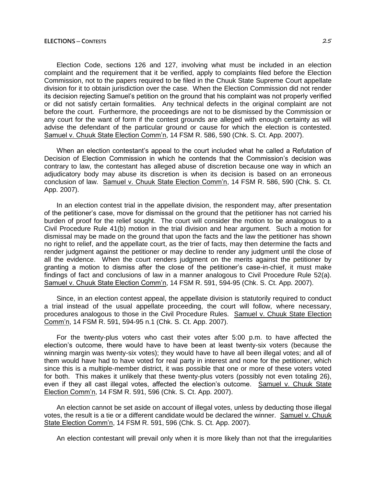Election Code, sections 126 and 127, involving what must be included in an election complaint and the requirement that it be verified, apply to complaints filed before the Election Commission, not to the papers required to be filed in the Chuuk State Supreme Court appellate division for it to obtain jurisdiction over the case. When the Election Commission did not render its decision rejecting Samuel's petition on the ground that his complaint was not properly verified or did not satisfy certain formalities. Any technical defects in the original complaint are not before the court. Furthermore, the proceedings are not to be dismissed by the Commission or any court for the want of form if the contest grounds are alleged with enough certainty as will advise the defendant of the particular ground or cause for which the election is contested. Samuel v. Chuuk State Election Comm'n, 14 FSM R. 586, 590 (Chk. S. Ct. App. 2007).

When an election contestant's appeal to the court included what he called a Refutation of Decision of Election Commission in which he contends that the Commission's decision was contrary to law, the contestant has alleged abuse of discretion because one way in which an adjudicatory body may abuse its discretion is when its decision is based on an erroneous conclusion of law. Samuel v. Chuuk State Election Comm'n, 14 FSM R. 586, 590 (Chk. S. Ct. App. 2007).

In an election contest trial in the appellate division, the respondent may, after presentation of the petitioner's case, move for dismissal on the ground that the petitioner has not carried his burden of proof for the relief sought. The court will consider the motion to be analogous to a Civil Procedure Rule 41(b) motion in the trial division and hear argument. Such a motion for dismissal may be made on the ground that upon the facts and the law the petitioner has shown no right to relief, and the appellate court, as the trier of facts, may then determine the facts and render judgment against the petitioner or may decline to render any judgment until the close of all the evidence. When the court renders judgment on the merits against the petitioner by granting a motion to dismiss after the close of the petitioner's case-in-chief, it must make findings of fact and conclusions of law in a manner analogous to Civil Procedure Rule 52(a). Samuel v. Chuuk State Election Comm'n, 14 FSM R. 591, 594-95 (Chk. S. Ct. App. 2007).

Since, in an election contest appeal, the appellate division is statutorily required to conduct a trial instead of the usual appellate proceeding, the court will follow, where necessary, procedures analogous to those in the Civil Procedure Rules. Samuel v. Chuuk State Election Comm'n, 14 FSM R. 591, 594-95 n.1 (Chk. S. Ct. App. 2007).

For the twenty-plus voters who cast their votes after 5:00 p.m. to have affected the election's outcome, there would have to have been at least twenty-six voters (because the winning margin was twenty-six votes); they would have to have all been illegal votes; and all of them would have had to have voted for real party in interest and none for the petitioner, which since this is a multiple-member district, it was possible that one or more of these voters voted for both. This makes it unlikely that these twenty-plus voters (possibly not even totaling 26), even if they all cast illegal votes, affected the election's outcome. Samuel v. Chuuk State Election Comm'n, 14 FSM R. 591, 596 (Chk. S. Ct. App. 2007).

An election cannot be set aside on account of illegal votes, unless by deducting those illegal votes, the result is a tie or a different candidate would be declared the winner. Samuel v. Chuuk State Election Comm'n, 14 FSM R. 591, 596 (Chk. S. Ct. App. 2007).

An election contestant will prevail only when it is more likely than not that the irregularities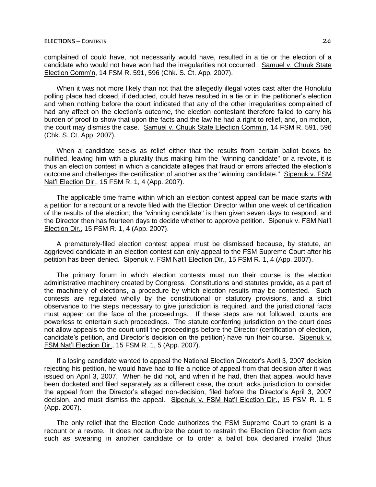complained of could have, not necessarily would have, resulted in a tie or the election of a candidate who would not have won had the irregularities not occurred. Samuel v. Chuuk State Election Comm'n, 14 FSM R. 591, 596 (Chk. S. Ct. App. 2007).

When it was not more likely than not that the allegedly illegal votes cast after the Honolulu polling place had closed, if deducted, could have resulted in a tie or in the petitioner's election and when nothing before the court indicated that any of the other irregularities complained of had any affect on the election's outcome, the election contestant therefore failed to carry his burden of proof to show that upon the facts and the law he had a right to relief, and, on motion, the court may dismiss the case. Samuel v. Chuuk State Election Comm'n, 14 FSM R. 591, 596 (Chk. S. Ct. App. 2007).

When a candidate seeks as relief either that the results from certain ballot boxes be nullified, leaving him with a plurality thus making him the "winning candidate" or a revote, it is thus an election contest in which a candidate alleges that fraud or errors affected the election's outcome and challenges the certification of another as the "winning candidate." Sipenuk v. FSM Nat'l Election Dir., 15 FSM R. 1, 4 (App. 2007).

The applicable time frame within which an election contest appeal can be made starts with a petition for a recount or a revote filed with the Election Director within one week of certification of the results of the election; the "winning candidate" is then given seven days to respond; and the Director then has fourteen days to decide whether to approve petition. Sipenuk v. FSM Nat'l Election Dir., 15 FSM R. 1, 4 (App. 2007).

A prematurely-filed election contest appeal must be dismissed because, by statute, an aggrieved candidate in an election contest can only appeal to the FSM Supreme Court after his petition has been denied. Sipenuk v. FSM Nat'l Election Dir., 15 FSM R. 1, 4 (App. 2007).

The primary forum in which election contests must run their course is the election administrative machinery created by Congress. Constitutions and statutes provide, as a part of the machinery of elections, a procedure by which election results may be contested. Such contests are regulated wholly by the constitutional or statutory provisions, and a strict observance to the steps necessary to give jurisdiction is required, and the jurisdictional facts must appear on the face of the proceedings. If these steps are not followed, courts are powerless to entertain such proceedings. The statute conferring jurisdiction on the court does not allow appeals to the court until the proceedings before the Director (certification of election, candidate's petition, and Director's decision on the petition) have run their course. Sipenuk v. FSM Nat'l Election Dir., 15 FSM R. 1, 5 (App. 2007).

If a losing candidate wanted to appeal the National Election Director's April 3, 2007 decision rejecting his petition, he would have had to file a notice of appeal from that decision after it was issued on April 3, 2007. When he did not, and when if he had, then that appeal would have been docketed and filed separately as a different case, the court lacks jurisdiction to consider the appeal from the Director's alleged non-decision, filed before the Director's April 3, 2007 decision, and must dismiss the appeal. Sipenuk v. FSM Nat'l Election Dir., 15 FSM R. 1, 5 (App. 2007).

The only relief that the Election Code authorizes the FSM Supreme Court to grant is a recount or a revote. It does not authorize the court to restrain the Election Director from acts such as swearing in another candidate or to order a ballot box declared invalid (thus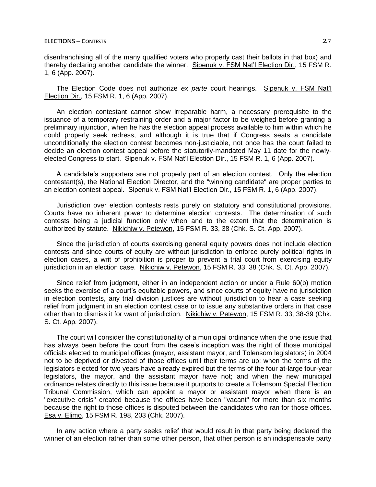disenfranchising all of the many qualified voters who properly cast their ballots in that box) and thereby declaring another candidate the winner. Sipenuk v. FSM Nat'l Election Dir., 15 FSM R. 1, 6 (App. 2007).

The Election Code does not authorize *ex parte* court hearings. Sipenuk v. FSM Nat'l Election Dir., 15 FSM R. 1, 6 (App. 2007).

An election contestant cannot show irreparable harm, a necessary prerequisite to the issuance of a temporary restraining order and a major factor to be weighed before granting a preliminary injunction, when he has the election appeal process available to him within which he could properly seek redress, and although it is true that if Congress seats a candidate unconditionally the election contest becomes non-justiciable, not once has the court failed to decide an election contest appeal before the statutorily-mandated May 11 date for the newlyelected Congress to start. Sipenuk v. FSM Nat'l Election Dir., 15 FSM R. 1, 6 (App. 2007).

A candidate's supporters are not properly part of an election contest. Only the election contestant(s), the National Election Director, and the "winning candidate" are proper parties to an election contest appeal. Sipenuk v. FSM Nat'l Election Dir., 15 FSM R. 1, 6 (App. 2007).

Jurisdiction over election contests rests purely on statutory and constitutional provisions. Courts have no inherent power to determine election contests. The determination of such contests being a judicial function only when and to the extent that the determination is authorized by statute. Nikichiw v. Petewon, 15 FSM R. 33, 38 (Chk. S. Ct. App. 2007).

Since the jurisdiction of courts exercising general equity powers does not include election contests and since courts of equity are without jurisdiction to enforce purely political rights in election cases, a writ of prohibition is proper to prevent a trial court from exercising equity jurisdiction in an election case. Nikichiw v. Petewon, 15 FSM R. 33, 38 (Chk. S. Ct. App. 2007).

Since relief from judgment, either in an independent action or under a Rule 60(b) motion seeks the exercise of a court's equitable powers, and since courts of equity have no jurisdiction in election contests, any trial division justices are without jurisdiction to hear a case seeking relief from judgment in an election contest case or to issue any substantive orders in that case other than to dismiss it for want of jurisdiction. Nikichiw v. Petewon, 15 FSM R. 33, 38-39 (Chk. S. Ct. App. 2007).

The court will consider the constitutionality of a municipal ordinance when the one issue that has always been before the court from the case's inception was the right of those municipal officials elected to municipal offices (mayor, assistant mayor, and Tolensom legislators) in 2004 not to be deprived or divested of those offices until their terms are up; when the terms of the legislators elected for two years have already expired but the terms of the four at-large four-year legislators, the mayor, and the assistant mayor have not; and when the new municipal ordinance relates directly to this issue because it purports to create a Tolensom Special Election Tribunal Commission, which can appoint a mayor or assistant mayor when there is an "executive crisis" created because the offices have been "vacant" for more than six months because the right to those offices is disputed between the candidates who ran for those offices. Esa v. Elimo, 15 FSM R. 198, 203 (Chk. 2007).

In any action where a party seeks relief that would result in that party being declared the winner of an election rather than some other person, that other person is an indispensable party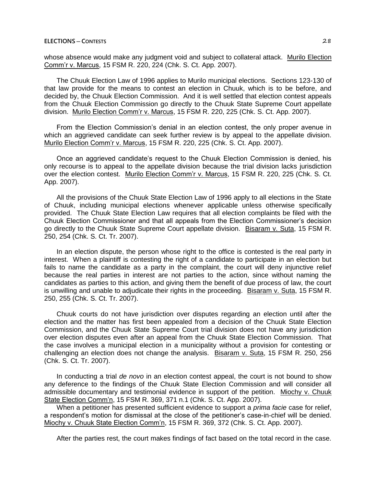whose absence would make any judgment void and subject to collateral attack. Murilo Election Comm'r v. Marcus, 15 FSM R. 220, 224 (Chk. S. Ct. App. 2007).

The Chuuk Election Law of 1996 applies to Murilo municipal elections. Sections 123-130 of that law provide for the means to contest an election in Chuuk, which is to be before, and decided by, the Chuuk Election Commission. And it is well settled that election contest appeals from the Chuuk Election Commission go directly to the Chuuk State Supreme Court appellate division. Murilo Election Comm'r v. Marcus, 15 FSM R. 220, 225 (Chk. S. Ct. App. 2007).

From the Election Commission's denial in an election contest, the only proper avenue in which an aggrieved candidate can seek further review is by appeal to the appellate division. Murilo Election Comm'r v. Marcus, 15 FSM R. 220, 225 (Chk. S. Ct. App. 2007).

Once an aggrieved candidate's request to the Chuuk Election Commission is denied, his only recourse is to appeal to the appellate division because the trial division lacks jurisdiction over the election contest. Murilo Election Comm'r v. Marcus, 15 FSM R. 220, 225 (Chk. S. Ct. App. 2007).

All the provisions of the Chuuk State Election Law of 1996 apply to all elections in the State of Chuuk, including municipal elections whenever applicable unless otherwise specifically provided. The Chuuk State Election Law requires that all election complaints be filed with the Chuuk Election Commissioner and that all appeals from the Election Commissioner's decision go directly to the Chuuk State Supreme Court appellate division. Bisaram v. Suta, 15 FSM R. 250, 254 (Chk. S. Ct. Tr. 2007).

In an election dispute, the person whose right to the office is contested is the real party in interest. When a plaintiff is contesting the right of a candidate to participate in an election but fails to name the candidate as a party in the complaint, the court will deny injunctive relief because the real parties in interest are not parties to the action, since without naming the candidates as parties to this action, and giving them the benefit of due process of law, the court is unwilling and unable to adjudicate their rights in the proceeding. Bisaram v. Suta, 15 FSM R. 250, 255 (Chk. S. Ct. Tr. 2007).

Chuuk courts do not have jurisdiction over disputes regarding an election until after the election and the matter has first been appealed from a decision of the Chuuk State Election Commission, and the Chuuk State Supreme Court trial division does not have any jurisdiction over election disputes even after an appeal from the Chuuk State Election Commission. That the case involves a municipal election in a municipality without a provision for contesting or challenging an election does not change the analysis. Bisaram v. Suta, 15 FSM R. 250, 256 (Chk. S. Ct. Tr. 2007).

In conducting a trial *de novo* in an election contest appeal, the court is not bound to show any deference to the findings of the Chuuk State Election Commission and will consider all admissible documentary and testimonial evidence in support of the petition. Miochy v. Chuuk State Election Comm'n, 15 FSM R. 369, 371 n.1 (Chk. S. Ct. App. 2007).

When a petitioner has presented sufficient evidence to support a *prima facie* case for relief, a respondent's motion for dismissal at the close of the petitioner's case-in-chief will be denied. Miochy v. Chuuk State Election Comm'n, 15 FSM R. 369, 372 (Chk. S. Ct. App. 2007).

After the parties rest, the court makes findings of fact based on the total record in the case.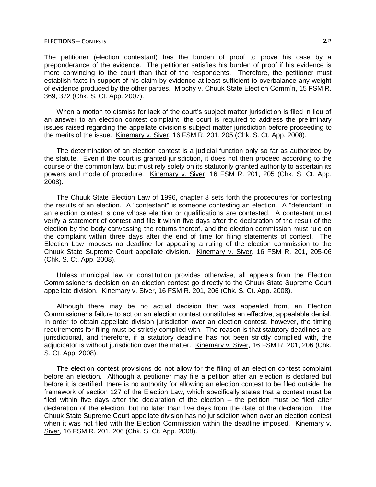The petitioner (election contestant) has the burden of proof to prove his case by a preponderance of the evidence. The petitioner satisfies his burden of proof if his evidence is more convincing to the court than that of the respondents. Therefore, the petitioner must establish facts in support of his claim by evidence at least sufficient to overbalance any weight of evidence produced by the other parties. Miochy v. Chuuk State Election Comm'n, 15 FSM R. 369, 372 (Chk. S. Ct. App. 2007).

When a motion to dismiss for lack of the court's subject matter jurisdiction is filed in lieu of an answer to an election contest complaint, the court is required to address the preliminary issues raised regarding the appellate division's subject matter jurisdiction before proceeding to the merits of the issue. Kinemary v. Siver, 16 FSM R. 201, 205 (Chk. S. Ct. App. 2008).

The determination of an election contest is a judicial function only so far as authorized by the statute. Even if the court is granted jurisdiction, it does not then proceed according to the course of the common law, but must rely solely on its statutorily granted authority to ascertain its powers and mode of procedure. Kinemary v. Siver, 16 FSM R. 201, 205 (Chk. S. Ct. App. 2008).

The Chuuk State Election Law of 1996, chapter 8 sets forth the procedures for contesting the results of an election. A "contestant" is someone contesting an election. A "defendant" in an election contest is one whose election or qualifications are contested. A contestant must verify a statement of contest and file it within five days after the declaration of the result of the election by the body canvassing the returns thereof, and the election commission must rule on the complaint within three days after the end of time for filing statements of contest. The Election Law imposes no deadline for appealing a ruling of the election commission to the Chuuk State Supreme Court appellate division. Kinemary v. Siver, 16 FSM R. 201, 205-06 (Chk. S. Ct. App. 2008).

Unless municipal law or constitution provides otherwise, all appeals from the Election Commissioner's decision on an election contest go directly to the Chuuk State Supreme Court appellate division. Kinemary v. Siver, 16 FSM R. 201, 206 (Chk. S. Ct. App. 2008).

Although there may be no actual decision that was appealed from, an Election Commissioner's failure to act on an election contest constitutes an effective, appealable denial. In order to obtain appellate division jurisdiction over an election contest, however, the timing requirements for filing must be strictly complied with. The reason is that statutory deadlines are jurisdictional, and therefore, if a statutory deadline has not been strictly complied with, the adjudicator is without jurisdiction over the matter. Kinemary v. Siver, 16 FSM R. 201, 206 (Chk. S. Ct. App. 2008).

The election contest provisions do not allow for the filing of an election contest complaint before an election. Although a petitioner may file a petition after an election is declared but before it is certified, there is no authority for allowing an election contest to be filed outside the framework of section 127 of the Election Law, which specifically states that a contest must be filed within five days after the declaration of the election  $-$  the petition must be filed after declaration of the election, but no later than five days from the date of the declaration. The Chuuk State Supreme Court appellate division has no jurisdiction when over an election contest when it was not filed with the Election Commission within the deadline imposed. Kinemary v. Siver, 16 FSM R. 201, 206 (Chk. S. Ct. App. 2008).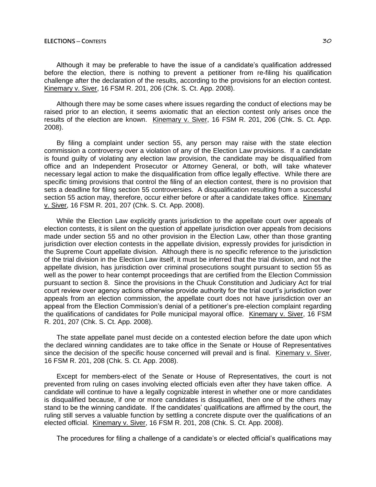Although it may be preferable to have the issue of a candidate's qualification addressed before the election, there is nothing to prevent a petitioner from re-filing his qualification challenge after the declaration of the results, according to the provisions for an election contest. Kinemary v. Siver, 16 FSM R. 201, 206 (Chk. S. Ct. App. 2008).

Although there may be some cases where issues regarding the conduct of elections may be raised prior to an election, it seems axiomatic that an election contest only arises once the results of the election are known. Kinemary v. Siver, 16 FSM R. 201, 206 (Chk. S. Ct. App. 2008).

By filing a complaint under section 55, any person may raise with the state election commission a controversy over a violation of any of the Election Law provisions. If a candidate is found guilty of violating any election law provision, the candidate may be disqualified from office and an Independent Prosecutor or Attorney General, or both, will take whatever necessary legal action to make the disqualification from office legally effective. While there are specific timing provisions that control the filing of an election contest, there is no provision that sets a deadline for filing section 55 controversies. A disqualification resulting from a successful section 55 action may, therefore, occur either before or after a candidate takes office. Kinemary v. Siver, 16 FSM R. 201, 207 (Chk. S. Ct. App. 2008).

While the Election Law explicitly grants jurisdiction to the appellate court over appeals of election contests, it is silent on the question of appellate jurisdiction over appeals from decisions made under section 55 and no other provision in the Election Law, other than those granting jurisdiction over election contests in the appellate division, expressly provides for jurisdiction in the Supreme Court appellate division. Although there is no specific reference to the jurisdiction of the trial division in the Election Law itself, it must be inferred that the trial division, and not the appellate division, has jurisdiction over criminal prosecutions sought pursuant to section 55 as well as the power to hear contempt proceedings that are certified from the Election Commission pursuant to section 8. Since the provisions in the Chuuk Constitution and Judiciary Act for trial court review over agency actions otherwise provide authority for the trial court's jurisdiction over appeals from an election commission, the appellate court does not have jurisdiction over an appeal from the Election Commission's denial of a petitioner's pre-election complaint regarding the qualifications of candidates for Polle municipal mayoral office. Kinemary v. Siver, 16 FSM R. 201, 207 (Chk. S. Ct. App. 2008).

The state appellate panel must decide on a contested election before the date upon which the declared winning candidates are to take office in the Senate or House of Representatives since the decision of the specific house concerned will prevail and is final. Kinemary v. Siver, 16 FSM R. 201, 208 (Chk. S. Ct. App. 2008).

Except for members-elect of the Senate or House of Representatives, the court is not prevented from ruling on cases involving elected officials even after they have taken office. A candidate will continue to have a legally cognizable interest in whether one or more candidates is disqualified because, if one or more candidates is disqualified, then one of the others may stand to be the winning candidate. If the candidates' qualifications are affirmed by the court, the ruling still serves a valuable function by settling a concrete dispute over the qualifications of an elected official. Kinemary v. Siver, 16 FSM R. 201, 208 (Chk. S. Ct. App. 2008).

The procedures for filing a challenge of a candidate's or elected official's qualifications may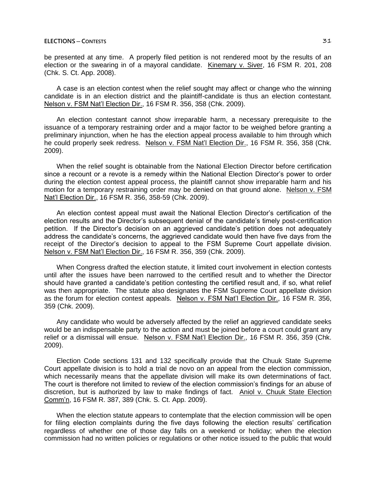be presented at any time. A properly filed petition is not rendered moot by the results of an election or the swearing in of a mayoral candidate. Kinemary v. Siver, 16 FSM R. 201, 208 (Chk. S. Ct. App. 2008).

A case is an election contest when the relief sought may affect or change who the winning candidate is in an election district and the plaintiff-candidate is thus an election contestant. Nelson v. FSM Nat'l Election Dir., 16 FSM R. 356, 358 (Chk. 2009).

An election contestant cannot show irreparable harm, a necessary prerequisite to the issuance of a temporary restraining order and a major factor to be weighed before granting a preliminary injunction, when he has the election appeal process available to him through which he could properly seek redress. Nelson v. FSM Nat'l Election Dir., 16 FSM R. 356, 358 (Chk. 2009).

When the relief sought is obtainable from the National Election Director before certification since a recount or a revote is a remedy within the National Election Director's power to order during the election contest appeal process, the plaintiff cannot show irreparable harm and his motion for a temporary restraining order may be denied on that ground alone. Nelson v. FSM Nat'l Election Dir., 16 FSM R. 356, 358-59 (Chk. 2009).

An election contest appeal must await the National Election Director's certification of the election results and the Director's subsequent denial of the candidate's timely post-certification petition. If the Director's decision on an aggrieved candidate's petition does not adequately address the candidate's concerns, the aggrieved candidate would then have five days from the receipt of the Director's decision to appeal to the FSM Supreme Court appellate division. Nelson v. FSM Nat'l Election Dir., 16 FSM R. 356, 359 (Chk. 2009).

When Congress drafted the election statute, it limited court involvement in election contests until after the issues have been narrowed to the certified result and to whether the Director should have granted a candidate's petition contesting the certified result and, if so, what relief was then appropriate. The statute also designates the FSM Supreme Court appellate division as the forum for election contest appeals. Nelson v. FSM Nat'l Election Dir., 16 FSM R. 356, 359 (Chk. 2009).

Any candidate who would be adversely affected by the relief an aggrieved candidate seeks would be an indispensable party to the action and must be joined before a court could grant any relief or a dismissal will ensue. Nelson v. FSM Nat'l Election Dir., 16 FSM R. 356, 359 (Chk. 2009).

Election Code sections 131 and 132 specifically provide that the Chuuk State Supreme Court appellate division is to hold a trial de novo on an appeal from the election commission, which necessarily means that the appellate division will make its own determinations of fact. The court is therefore not limited to review of the election commission's findings for an abuse of discretion, but is authorized by law to make findings of fact. Aniol v. Chuuk State Election Comm'n, 16 FSM R. 387, 389 (Chk. S. Ct. App. 2009).

When the election statute appears to contemplate that the election commission will be open for filing election complaints during the five days following the election results' certification regardless of whether one of those day falls on a weekend or holiday; when the election commission had no written policies or regulations or other notice issued to the public that would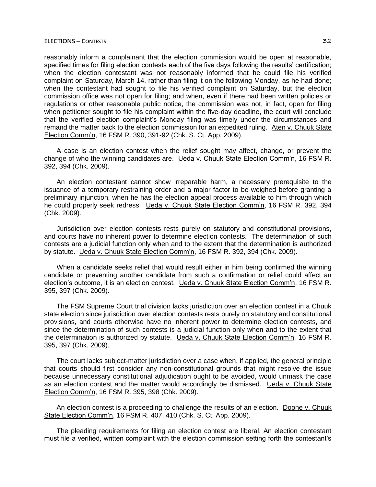reasonably inform a complainant that the election commission would be open at reasonable, specified times for filing election contests each of the five days following the results' certification; when the election contestant was not reasonably informed that he could file his verified complaint on Saturday, March 14, rather than filing it on the following Monday, as he had done; when the contestant had sought to file his verified complaint on Saturday, but the election commission office was not open for filing; and when, even if there had been written policies or regulations or other reasonable public notice, the commission was not, in fact, open for filing when petitioner sought to file his complaint within the five-day deadline, the court will conclude that the verified election complaint's Monday filing was timely under the circumstances and remand the matter back to the election commission for an expedited ruling. Aten v. Chuuk State Election Comm'n, 16 FSM R. 390, 391-92 (Chk. S. Ct. App. 2009).

A case is an election contest when the relief sought may affect, change, or prevent the change of who the winning candidates are. Ueda v. Chuuk State Election Comm'n, 16 FSM R. 392, 394 (Chk. 2009).

An election contestant cannot show irreparable harm, a necessary prerequisite to the issuance of a temporary restraining order and a major factor to be weighed before granting a preliminary injunction, when he has the election appeal process available to him through which he could properly seek redress. Ueda v. Chuuk State Election Comm'n, 16 FSM R. 392, 394 (Chk. 2009).

Jurisdiction over election contests rests purely on statutory and constitutional provisions, and courts have no inherent power to determine election contests. The determination of such contests are a judicial function only when and to the extent that the determination is authorized by statute. Ueda v. Chuuk State Election Comm'n, 16 FSM R. 392, 394 (Chk. 2009).

When a candidate seeks relief that would result either in him being confirmed the winning candidate or preventing another candidate from such a confirmation or relief could affect an election's outcome, it is an election contest. Ueda v. Chuuk State Election Comm'n, 16 FSM R. 395, 397 (Chk. 2009).

The FSM Supreme Court trial division lacks jurisdiction over an election contest in a Chuuk state election since jurisdiction over election contests rests purely on statutory and constitutional provisions, and courts otherwise have no inherent power to determine election contests, and since the determination of such contests is a judicial function only when and to the extent that the determination is authorized by statute. Ueda v. Chuuk State Election Comm'n, 16 FSM R. 395, 397 (Chk. 2009).

The court lacks subject-matter jurisdiction over a case when, if applied, the general principle that courts should first consider any non-constitutional grounds that might resolve the issue because unnecessary constitutional adjudication ought to be avoided, would unmask the case as an election contest and the matter would accordingly be dismissed. Ueda v. Chuuk State Election Comm'n, 16 FSM R. 395, 398 (Chk. 2009).

An election contest is a proceeding to challenge the results of an election. Doone v. Chuuk State Election Comm'n, 16 FSM R. 407, 410 (Chk. S. Ct. App. 2009).

The pleading requirements for filing an election contest are liberal. An election contestant must file a verified, written complaint with the election commission setting forth the contestant's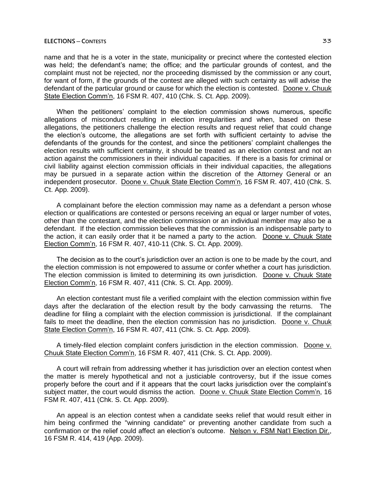name and that he is a voter in the state, municipality or precinct where the contested election was held; the defendant's name; the office; and the particular grounds of contest, and the complaint must not be rejected, nor the proceeding dismissed by the commission or any court, for want of form, if the grounds of the contest are alleged with such certainty as will advise the defendant of the particular ground or cause for which the election is contested. Doone v. Chuuk State Election Comm'n, 16 FSM R. 407, 410 (Chk. S. Ct. App. 2009).

When the petitioners' complaint to the election commission shows numerous, specific allegations of misconduct resulting in election irregularities and when, based on these allegations, the petitioners challenge the election results and request relief that could change the election's outcome, the allegations are set forth with sufficient certainty to advise the defendants of the grounds for the contest, and since the petitioners' complaint challenges the election results with sufficient certainty, it should be treated as an election contest and not an action against the commissioners in their individual capacities. If there is a basis for criminal or civil liability against election commission officials in their individual capacities, the allegations may be pursued in a separate action within the discretion of the Attorney General or an independent prosecutor. Doone v. Chuuk State Election Comm'n, 16 FSM R. 407, 410 (Chk. S. Ct. App. 2009).

A complainant before the election commission may name as a defendant a person whose election or qualifications are contested or persons receiving an equal or larger number of votes, other than the contestant, and the election commission or an individual member may also be a defendant. If the election commission believes that the commission is an indispensable party to the action, it can easily order that it be named a party to the action. Doone v. Chuuk State Election Comm'n, 16 FSM R. 407, 410-11 (Chk. S. Ct. App. 2009).

The decision as to the court's jurisdiction over an action is one to be made by the court, and the election commission is not empowered to assume or confer whether a court has jurisdiction. The election commission is limited to determining its own jurisdiction. Doone v. Chuuk State Election Comm'n, 16 FSM R. 407, 411 (Chk. S. Ct. App. 2009).

An election contestant must file a verified complaint with the election commission within five days after the declaration of the election result by the body canvassing the returns. The deadline for filing a complaint with the election commission is jurisdictional. If the complainant fails to meet the deadline, then the election commission has no jurisdiction. Doone v. Chuuk State Election Comm'n, 16 FSM R. 407, 411 (Chk. S. Ct. App. 2009).

A timely-filed election complaint confers jurisdiction in the election commission. Doone v. Chuuk State Election Comm'n, 16 FSM R. 407, 411 (Chk. S. Ct. App. 2009).

A court will refrain from addressing whether it has jurisdiction over an election contest when the matter is merely hypothetical and not a justiciable controversy, but if the issue comes properly before the court and if it appears that the court lacks jurisdiction over the complaint's subject matter, the court would dismiss the action. Doone v. Chuuk State Election Comm'n, 16 FSM R. 407, 411 (Chk. S. Ct. App. 2009).

An appeal is an election contest when a candidate seeks relief that would result either in him being confirmed the "winning candidate" or preventing another candidate from such a confirmation or the relief could affect an election's outcome. Nelson v. FSM Nat'l Election Dir., 16 FSM R. 414, 419 (App. 2009).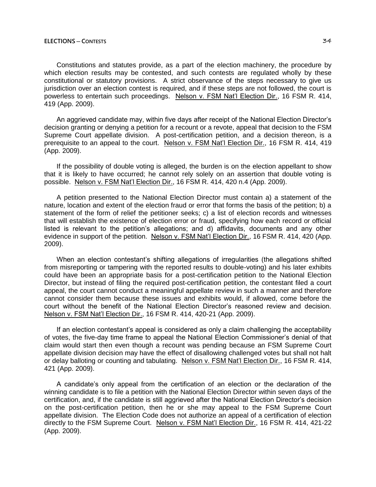Constitutions and statutes provide, as a part of the election machinery, the procedure by which election results may be contested, and such contests are regulated wholly by these constitutional or statutory provisions. A strict observance of the steps necessary to give us jurisdiction over an election contest is required, and if these steps are not followed, the court is powerless to entertain such proceedings. Nelson v. FSM Nat'l Election Dir., 16 FSM R. 414, 419 (App. 2009).

An aggrieved candidate may, within five days after receipt of the National Election Director's decision granting or denying a petition for a recount or a revote, appeal that decision to the FSM Supreme Court appellate division. A post-certification petition, and a decision thereon, is a prerequisite to an appeal to the court. Nelson v. FSM Nat'l Election Dir., 16 FSM R. 414, 419 (App. 2009).

If the possibility of double voting is alleged, the burden is on the election appellant to show that it is likely to have occurred; he cannot rely solely on an assertion that double voting is possible. Nelson v. FSM Nat'l Election Dir., 16 FSM R. 414, 420 n.4 (App. 2009).

A petition presented to the National Election Director must contain a) a statement of the nature, location and extent of the election fraud or error that forms the basis of the petition; b) a statement of the form of relief the petitioner seeks; c) a list of election records and witnesses that will establish the existence of election error or fraud, specifying how each record or official listed is relevant to the petition's allegations; and d) affidavits, documents and any other evidence in support of the petition. Nelson v. FSM Nat'l Election Dir., 16 FSM R. 414, 420 (App. 2009).

When an election contestant's shifting allegations of irregularities (the allegations shifted from misreporting or tampering with the reported results to double-voting) and his later exhibits could have been an appropriate basis for a post-certification petition to the National Election Director, but instead of filing the required post-certification petition, the contestant filed a court appeal, the court cannot conduct a meaningful appellate review in such a manner and therefore cannot consider them because these issues and exhibits would, if allowed, come before the court without the benefit of the National Election Director's reasoned review and decision. Nelson v. FSM Nat'l Election Dir., 16 FSM R. 414, 420-21 (App. 2009).

If an election contestant's appeal is considered as only a claim challenging the acceptability of votes, the five-day time frame to appeal the National Election Commissioner's denial of that claim would start then even though a recount was pending because an FSM Supreme Court appellate division decision may have the effect of disallowing challenged votes but shall not halt or delay balloting or counting and tabulating. Nelson v. FSM Nat'l Election Dir., 16 FSM R. 414, 421 (App. 2009).

A candidate's only appeal from the certification of an election or the declaration of the winning candidate is to file a petition with the National Election Director within seven days of the certification, and, if the candidate is still aggrieved after the National Election Director's decision on the post-certification petition, then he or she may appeal to the FSM Supreme Court appellate division. The Election Code does not authorize an appeal of a certification of election directly to the FSM Supreme Court. Nelson v. FSM Nat'l Election Dir., 16 FSM R. 414, 421-22 (App. 2009).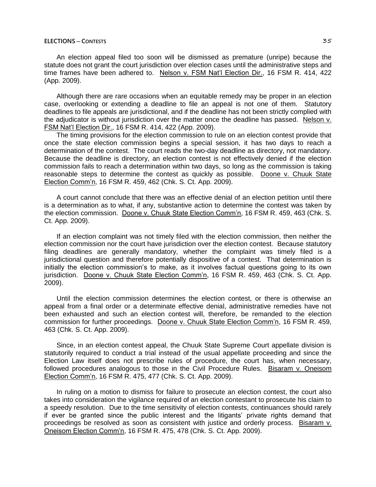An election appeal filed too soon will be dismissed as premature (unripe) because the statute does not grant the court jurisdiction over election cases until the administrative steps and time frames have been adhered to. Nelson v. FSM Nat'l Election Dir., 16 FSM R. 414, 422 (App. 2009).

Although there are rare occasions when an equitable remedy may be proper in an election case, overlooking or extending a deadline to file an appeal is not one of them. Statutory deadlines to file appeals are jurisdictional, and if the deadline has not been strictly complied with the adjudicator is without jurisdiction over the matter once the deadline has passed. Nelson v. FSM Nat'l Election Dir., 16 FSM R. 414, 422 (App. 2009).

The timing provisions for the election commission to rule on an election contest provide that once the state election commission begins a special session, it has two days to reach a determination of the contest. The court reads the two-day deadline as directory, not mandatory. Because the deadline is directory, an election contest is not effectively denied if the election commission fails to reach a determination within two days, so long as the commission is taking reasonable steps to determine the contest as quickly as possible. Doone v. Chuuk State Election Comm'n, 16 FSM R. 459, 462 (Chk. S. Ct. App. 2009).

A court cannot conclude that there was an effective denial of an election petition until there is a determination as to what, if any, substantive action to determine the contest was taken by the election commission. Doone v. Chuuk State Election Comm'n, 16 FSM R. 459, 463 (Chk. S. Ct. App. 2009).

If an election complaint was not timely filed with the election commission, then neither the election commission nor the court have jurisdiction over the election contest. Because statutory filing deadlines are generally mandatory, whether the complaint was timely filed is a jurisdictional question and therefore potentially dispositive of a contest. That determination is initially the election commission's to make, as it involves factual questions going to its own iurisdiction. Doone v. Chuuk State Election Comm'n, 16 FSM R. 459, 463 (Chk. S. Ct. App. 2009).

Until the election commission determines the election contest, or there is otherwise an appeal from a final order or a determinate effective denial, administrative remedies have not been exhausted and such an election contest will, therefore, be remanded to the election commission for further proceedings. Doone v. Chuuk State Election Comm'n, 16 FSM R. 459, 463 (Chk. S. Ct. App. 2009).

Since, in an election contest appeal, the Chuuk State Supreme Court appellate division is statutorily required to conduct a trial instead of the usual appellate proceeding and since the Election Law itself does not prescribe rules of procedure, the court has, when necessary, followed procedures analogous to those in the Civil Procedure Rules. Bisaram v. Oneisom Election Comm'n, 16 FSM R. 475, 477 (Chk. S. Ct. App. 2009).

In ruling on a motion to dismiss for failure to prosecute an election contest, the court also takes into consideration the vigilance required of an election contestant to prosecute his claim to a speedy resolution. Due to the time sensitivity of election contests, continuances should rarely if ever be granted since the public interest and the litigants' private rights demand that proceedings be resolved as soon as consistent with justice and orderly process. Bisaram v. Oneisom Election Comm'n, 16 FSM R. 475, 478 (Chk. S. Ct. App. 2009).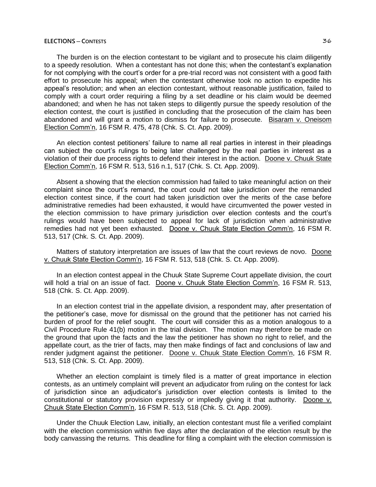The burden is on the election contestant to be vigilant and to prosecute his claim diligently to a speedy resolution. When a contestant has not done this; when the contestant's explanation for not complying with the court's order for a pre-trial record was not consistent with a good faith effort to prosecute his appeal; when the contestant otherwise took no action to expedite his appeal's resolution; and when an election contestant, without reasonable justification, failed to comply with a court order requiring a filing by a set deadline or his claim would be deemed abandoned; and when he has not taken steps to diligently pursue the speedy resolution of the election contest, the court is justified in concluding that the prosecution of the claim has been abandoned and will grant a motion to dismiss for failure to prosecute. Bisaram v. Oneisom Election Comm'n, 16 FSM R. 475, 478 (Chk. S. Ct. App. 2009).

An election contest petitioners' failure to name all real parties in interest in their pleadings can subject the court's rulings to being later challenged by the real parties in interest as a violation of their due process rights to defend their interest in the action. Doone v. Chuuk State Election Comm'n, 16 FSM R. 513, 516 n.1, 517 (Chk. S. Ct. App. 2009).

Absent a showing that the election commission had failed to take meaningful action on their complaint since the court's remand, the court could not take jurisdiction over the remanded election contest since, if the court had taken jurisdiction over the merits of the case before administrative remedies had been exhausted, it would have circumvented the power vested in the election commission to have primary jurisdiction over election contests and the court's rulings would have been subjected to appeal for lack of jurisdiction when administrative remedies had not yet been exhausted. Doone v. Chuuk State Election Comm'n, 16 FSM R. 513, 517 (Chk. S. Ct. App. 2009).

Matters of statutory interpretation are issues of law that the court reviews de novo. Doone v. Chuuk State Election Comm'n, 16 FSM R. 513, 518 (Chk. S. Ct. App. 2009).

In an election contest appeal in the Chuuk State Supreme Court appellate division, the court will hold a trial on an issue of fact. Doone v. Chuuk State Election Comm'n, 16 FSM R. 513, 518 (Chk. S. Ct. App. 2009).

In an election contest trial in the appellate division, a respondent may, after presentation of the petitioner's case, move for dismissal on the ground that the petitioner has not carried his burden of proof for the relief sought. The court will consider this as a motion analogous to a Civil Procedure Rule 41(b) motion in the trial division. The motion may therefore be made on the ground that upon the facts and the law the petitioner has shown no right to relief, and the appellate court, as the trier of facts, may then make findings of fact and conclusions of law and render judgment against the petitioner. Doone v. Chuuk State Election Comm'n, 16 FSM R. 513, 518 (Chk. S. Ct. App. 2009).

Whether an election complaint is timely filed is a matter of great importance in election contests, as an untimely complaint will prevent an adjudicator from ruling on the contest for lack of jurisdiction since an adjudicator's jurisdiction over election contests is limited to the constitutional or statutory provision expressly or impliedly giving it that authority. Doone v. Chuuk State Election Comm'n, 16 FSM R. 513, 518 (Chk. S. Ct. App. 2009).

Under the Chuuk Election Law, initially, an election contestant must file a verified complaint with the election commission within five days after the declaration of the election result by the body canvassing the returns. This deadline for filing a complaint with the election commission is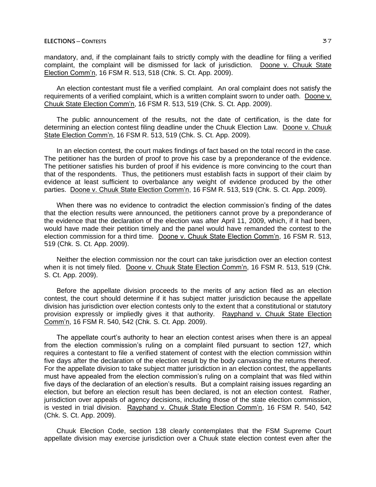mandatory, and, if the complainant fails to strictly comply with the deadline for filing a verified complaint, the complaint will be dismissed for lack of jurisdiction. Doone v. Chuuk State Election Comm'n, 16 FSM R. 513, 518 (Chk. S. Ct. App. 2009).

An election contestant must file a verified complaint. An oral complaint does not satisfy the requirements of a verified complaint, which is a written complaint sworn to under oath. Doone v. Chuuk State Election Comm'n, 16 FSM R. 513, 519 (Chk. S. Ct. App. 2009).

The public announcement of the results, not the date of certification, is the date for determining an election contest filing deadline under the Chuuk Election Law. Doone v. Chuuk State Election Comm'n, 16 FSM R. 513, 519 (Chk. S. Ct. App. 2009).

In an election contest, the court makes findings of fact based on the total record in the case. The petitioner has the burden of proof to prove his case by a preponderance of the evidence. The petitioner satisfies his burden of proof if his evidence is more convincing to the court than that of the respondents. Thus, the petitioners must establish facts in support of their claim by evidence at least sufficient to overbalance any weight of evidence produced by the other parties. Doone v. Chuuk State Election Comm'n, 16 FSM R. 513, 519 (Chk. S. Ct. App. 2009).

When there was no evidence to contradict the election commission's finding of the dates that the election results were announced, the petitioners cannot prove by a preponderance of the evidence that the declaration of the election was after April 11, 2009, which, if it had been, would have made their petition timely and the panel would have remanded the contest to the election commission for a third time. Doone v. Chuuk State Election Comm'n, 16 FSM R. 513, 519 (Chk. S. Ct. App. 2009).

Neither the election commission nor the court can take jurisdiction over an election contest when it is not timely filed. Doone v. Chuuk State Election Comm'n, 16 FSM R. 513, 519 (Chk. S. Ct. App. 2009).

Before the appellate division proceeds to the merits of any action filed as an election contest, the court should determine if it has subject matter jurisdiction because the appellate division has jurisdiction over election contests only to the extent that a constitutional or statutory provision expressly or impliedly gives it that authority. Rayphand v. Chuuk State Election Comm'n, 16 FSM R. 540, 542 (Chk. S. Ct. App. 2009).

The appellate court's authority to hear an election contest arises when there is an appeal from the election commission's ruling on a complaint filed pursuant to section 127, which requires a contestant to file a verified statement of contest with the election commission within five days after the declaration of the election result by the body canvassing the returns thereof. For the appellate division to take subject matter jurisdiction in an election contest, the appellants must have appealed from the election commission's ruling on a complaint that was filed within five days of the declaration of an election's results. But a complaint raising issues regarding an election, but before an election result has been declared, is not an election contest. Rather, jurisdiction over appeals of agency decisions, including those of the state election commission, is vested in trial division. Rayphand v. Chuuk State Election Comm'n, 16 FSM R. 540, 542 (Chk. S. Ct. App. 2009).

Chuuk Election Code, section 138 clearly contemplates that the FSM Supreme Court appellate division may exercise jurisdiction over a Chuuk state election contest even after the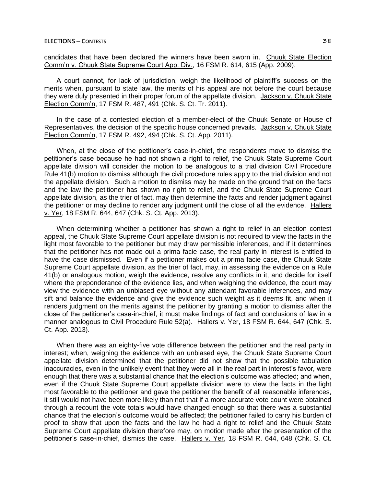candidates that have been declared the winners have been sworn in. Chuuk State Election Comm'n v. Chuuk State Supreme Court App. Div., 16 FSM R. 614, 615 (App. 2009).

A court cannot, for lack of jurisdiction, weigh the likelihood of plaintiff's success on the merits when, pursuant to state law, the merits of his appeal are not before the court because they were duly presented in their proper forum of the appellate division. Jackson v. Chuuk State Election Comm'n, 17 FSM R. 487, 491 (Chk. S. Ct. Tr. 2011).

In the case of a contested election of a member-elect of the Chuuk Senate or House of Representatives, the decision of the specific house concerned prevails. Jackson v. Chuuk State Election Comm'n, 17 FSM R. 492, 494 (Chk. S. Ct. App. 2011).

When, at the close of the petitioner's case-in-chief, the respondents move to dismiss the petitioner's case because he had not shown a right to relief, the Chuuk State Supreme Court appellate division will consider the motion to be analogous to a trial division Civil Procedure Rule 41(b) motion to dismiss although the civil procedure rules apply to the trial division and not the appellate division. Such a motion to dismiss may be made on the ground that on the facts and the law the petitioner has shown no right to relief, and the Chuuk State Supreme Court appellate division, as the trier of fact, may then determine the facts and render judgment against the petitioner or may decline to render any judgment until the close of all the evidence. Hallers v. Yer, 18 FSM R. 644, 647 (Chk. S. Ct. App. 2013).

When determining whether a petitioner has shown a right to relief in an election contest appeal, the Chuuk State Supreme Court appellate division is not required to view the facts in the light most favorable to the petitioner but may draw permissible inferences, and if it determines that the petitioner has not made out a prima facie case, the real party in interest is entitled to have the case dismissed. Even if a petitioner makes out a prima facie case, the Chuuk State Supreme Court appellate division, as the trier of fact, may, in assessing the evidence on a Rule 41(b) or analogous motion, weigh the evidence, resolve any conflicts in it, and decide for itself where the preponderance of the evidence lies, and when weighing the evidence, the court may view the evidence with an unbiased eye without any attendant favorable inferences, and may sift and balance the evidence and give the evidence such weight as it deems fit, and when it renders judgment on the merits against the petitioner by granting a motion to dismiss after the close of the petitioner's case-in-chief, it must make findings of fact and conclusions of law in a manner analogous to Civil Procedure Rule 52(a). Hallers v. Yer, 18 FSM R. 644, 647 (Chk. S. Ct. App. 2013).

When there was an eighty-five vote difference between the petitioner and the real party in interest; when, weighing the evidence with an unbiased eye, the Chuuk State Supreme Court appellate division determined that the petitioner did not show that the possible tabulation inaccuracies, even in the unlikely event that they were all in the real part in interest's favor, were enough that there was a substantial chance that the election's outcome was affected; and when, even if the Chuuk State Supreme Court appellate division were to view the facts in the light most favorable to the petitioner and gave the petitioner the benefit of all reasonable inferences, it still would not have been more likely than not that if a more accurate vote count were obtained through a recount the vote totals would have changed enough so that there was a substantial chance that the election's outcome would be affected; the petitioner failed to carry his burden of proof to show that upon the facts and the law he had a right to relief and the Chuuk State Supreme Court appellate division therefore may, on motion made after the presentation of the petitioner's case-in-chief, dismiss the case. Hallers v. Yer, 18 FSM R. 644, 648 (Chk. S. Ct.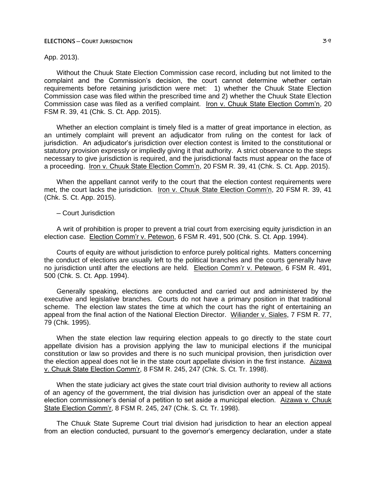### App. 2013).

Without the Chuuk State Election Commission case record, including but not limited to the complaint and the Commission's decision, the court cannot determine whether certain requirements before retaining jurisdiction were met: 1) whether the Chuuk State Election Commission case was filed within the prescribed time and 2) whether the Chuuk State Election Commission case was filed as a verified complaint. Iron v. Chuuk State Election Comm'n, 20 FSM R. 39, 41 (Chk. S. Ct. App. 2015).

Whether an election complaint is timely filed is a matter of great importance in election, as an untimely complaint will prevent an adjudicator from ruling on the contest for lack of jurisdiction. An adjudicator's jurisdiction over election contest is limited to the constitutional or statutory provision expressly or impliedly giving it that authority. A strict observance to the steps necessary to give jurisdiction is required, and the jurisdictional facts must appear on the face of a proceeding. Iron v. Chuuk State Election Comm'n, 20 FSM R. 39, 41 (Chk. S. Ct. App. 2015).

When the appellant cannot verify to the court that the election contest requirements were met, the court lacks the jurisdiction. Iron v. Chuuk State Election Comm'n, 20 FSM R. 39, 41 (Chk. S. Ct. App. 2015).

### ─ Court Jurisdiction

A writ of prohibition is proper to prevent a trial court from exercising equity jurisdiction in an election case. Election Comm'r v. Petewon, 6 FSM R. 491, 500 (Chk. S. Ct. App. 1994).

Courts of equity are without jurisdiction to enforce purely political rights. Matters concerning the conduct of elections are usually left to the political branches and the courts generally have no jurisdiction until after the elections are held. Election Comm'r v. Petewon, 6 FSM R. 491, 500 (Chk. S. Ct. App. 1994).

Generally speaking, elections are conducted and carried out and administered by the executive and legislative branches. Courts do not have a primary position in that traditional scheme. The election law states the time at which the court has the right of entertaining an appeal from the final action of the National Election Director. Wiliander v. Siales, 7 FSM R. 77, 79 (Chk. 1995).

When the state election law requiring election appeals to go directly to the state court appellate division has a provision applying the law to municipal elections if the municipal constitution or law so provides and there is no such municipal provision, then jurisdiction over the election appeal does not lie in the state court appellate division in the first instance. Aizawa v. Chuuk State Election Comm'r, 8 FSM R. 245, 247 (Chk. S. Ct. Tr. 1998).

When the state judiciary act gives the state court trial division authority to review all actions of an agency of the government, the trial division has jurisdiction over an appeal of the state election commissioner's denial of a petition to set aside a municipal election. Aizawa v. Chuuk State Election Comm'r, 8 FSM R. 245, 247 (Chk. S. Ct. Tr. 1998).

The Chuuk State Supreme Court trial division had jurisdiction to hear an election appeal from an election conducted, pursuant to the governor's emergency declaration, under a state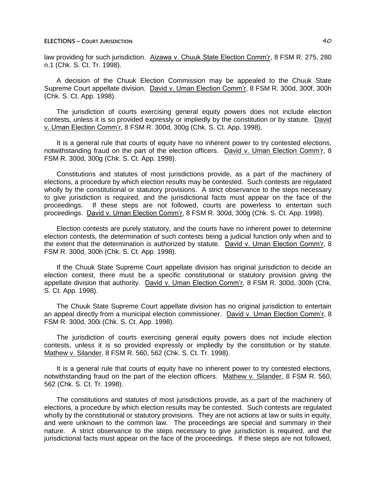law providing for such jurisdiction. Aizawa v. Chuuk State Election Comm'r, 8 FSM R. 275, 280 n.1 (Chk. S. Ct. Tr. 1998).

A decision of the Chuuk Election Commission may be appealed to the Chuuk State Supreme Court appellate division. David v. Uman Election Comm'r, 8 FSM R. 300d, 300f, 300h (Chk. S. Ct. App. 1998).

The jurisdiction of courts exercising general equity powers does not include election contests, unless it is so provided expressly or impliedly by the constitution or by statute. David v. Uman Election Comm'r, 8 FSM R. 300d, 300g (Chk. S. Ct. App. 1998).

It is a general rule that courts of equity have no inherent power to try contested elections, notwithstanding fraud on the part of the election officers. David v. Uman Election Comm'r, 8 FSM R. 300d, 300g (Chk. S. Ct. App. 1998).

Constitutions and statutes of most jurisdictions provide, as a part of the machinery of elections, a procedure by which election results may be contested. Such contests are regulated wholly by the constitutional or statutory provisions. A strict observance to the steps necessary to give jurisdiction is required, and the jurisdictional facts must appear on the face of the proceedings. If these steps are not followed, courts are powerless to entertain such proceedings. David v. Uman Election Comm'r, 8 FSM R. 300d, 300g (Chk. S. Ct. App. 1998).

Election contests are purely statutory, and the courts have no inherent power to determine election contests, the determination of such contests being a judicial function only when and to the extent that the determination is authorized by statute. David v. Uman Election Comm'r, 8 FSM R. 300d, 300h (Chk. S. Ct. App. 1998).

If the Chuuk State Supreme Court appellate division has original jurisdiction to decide an election contest, there must be a specific constitutional or statutory provision giving the appellate division that authority. David v. Uman Election Comm'r, 8 FSM R. 300d, 300h (Chk. S. Ct. App. 1998).

The Chuuk State Supreme Court appellate division has no original jurisdiction to entertain an appeal directly from a municipal election commissioner. David v. Uman Election Comm'r, 8 FSM R. 300d, 300i (Chk. S. Ct. App. 1998).

The jurisdiction of courts exercising general equity powers does not include election contests, unless it is so provided expressly or impliedly by the constitution or by statute. Mathew v. Silander, 8 FSM R. 560, 562 (Chk. S. Ct. Tr. 1998).

It is a general rule that courts of equity have no inherent power to try contested elections, notwithstanding fraud on the part of the election officers. Mathew v. Silander, 8 FSM R. 560, 562 (Chk. S. Ct. Tr. 1998).

The constitutions and statutes of most jurisdictions provide, as a part of the machinery of elections, a procedure by which election results may be contested. Such contests are regulated wholly by the constitutional or statutory provisions. They are not actions at law or suits in equity, and were unknown to the common law. The proceedings are special and summary in their nature. A strict observance to the steps necessary to give jurisdiction is required, and the jurisdictional facts must appear on the face of the proceedings. If these steps are not followed,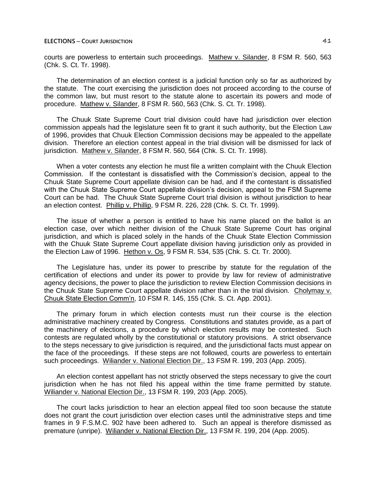courts are powerless to entertain such proceedings. Mathew v. Silander, 8 FSM R. 560, 563 (Chk. S. Ct. Tr. 1998).

The determination of an election contest is a judicial function only so far as authorized by the statute. The court exercising the jurisdiction does not proceed according to the course of the common law, but must resort to the statute alone to ascertain its powers and mode of procedure. Mathew v. Silander, 8 FSM R. 560, 563 (Chk. S. Ct. Tr. 1998).

The Chuuk State Supreme Court trial division could have had jurisdiction over election commission appeals had the legislature seen fit to grant it such authority, but the Election Law of 1996, provides that Chuuk Election Commission decisions may be appealed to the appellate division. Therefore an election contest appeal in the trial division will be dismissed for lack of jurisdiction. Mathew v. Silander, 8 FSM R. 560, 564 (Chk. S. Ct. Tr. 1998).

When a voter contests any election he must file a written complaint with the Chuuk Election Commission. If the contestant is dissatisfied with the Commission's decision, appeal to the Chuuk State Supreme Court appellate division can be had, and if the contestant is dissatisfied with the Chuuk State Supreme Court appellate division's decision, appeal to the FSM Supreme Court can be had. The Chuuk State Supreme Court trial division is without jurisdiction to hear an election contest. Phillip v. Phillip, 9 FSM R. 226, 228 (Chk. S. Ct. Tr. 1999).

The issue of whether a person is entitled to have his name placed on the ballot is an election case, over which neither division of the Chuuk State Supreme Court has original jurisdiction, and which is placed solely in the hands of the Chuuk State Election Commission with the Chuuk State Supreme Court appellate division having jurisdiction only as provided in the Election Law of 1996. Hethon v. Os, 9 FSM R. 534, 535 (Chk. S. Ct. Tr. 2000).

The Legislature has, under its power to prescribe by statute for the regulation of the certification of elections and under its power to provide by law for review of administrative agency decisions, the power to place the jurisdiction to review Election Commission decisions in the Chuuk State Supreme Court appellate division rather than in the trial division. Cholymay v. Chuuk State Election Comm'n, 10 FSM R. 145, 155 (Chk. S. Ct. App. 2001).

The primary forum in which election contests must run their course is the election administrative machinery created by Congress. Constitutions and statutes provide, as a part of the machinery of elections, a procedure by which election results may be contested. Such contests are regulated wholly by the constitutional or statutory provisions. A strict observance to the steps necessary to give jurisdiction is required, and the jurisdictional facts must appear on the face of the proceedings. If these steps are not followed, courts are powerless to entertain such proceedings. Wiliander v. National Election Dir., 13 FSM R. 199, 203 (App. 2005).

An election contest appellant has not strictly observed the steps necessary to give the court jurisdiction when he has not filed his appeal within the time frame permitted by statute. Wiliander v. National Election Dir., 13 FSM R. 199, 203 (App. 2005).

The court lacks jurisdiction to hear an election appeal filed too soon because the statute does not grant the court jurisdiction over election cases until the administrative steps and time frames in 9 F.S.M.C. 902 have been adhered to. Such an appeal is therefore dismissed as premature (unripe). Wiliander v. National Election Dir., 13 FSM R. 199, 204 (App. 2005).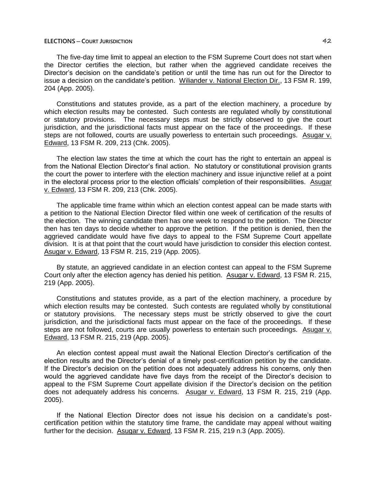The five-day time limit to appeal an election to the FSM Supreme Court does not start when the Director certifies the election, but rather when the aggrieved candidate receives the Director's decision on the candidate's petition or until the time has run out for the Director to issue a decision on the candidate's petition. Wiliander v. National Election Dir., 13 FSM R. 199, 204 (App. 2005).

Constitutions and statutes provide, as a part of the election machinery, a procedure by which election results may be contested. Such contests are regulated wholly by constitutional or statutory provisions. The necessary steps must be strictly observed to give the court jurisdiction, and the jurisdictional facts must appear on the face of the proceedings. If these steps are not followed, courts are usually powerless to entertain such proceedings. Asugar v. Edward, 13 FSM R. 209, 213 (Chk. 2005).

The election law states the time at which the court has the right to entertain an appeal is from the National Election Director's final action. No statutory or constitutional provision grants the court the power to interfere with the election machinery and issue injunctive relief at a point in the electoral process prior to the election officials' completion of their responsibilities. Asugar v. Edward, 13 FSM R. 209, 213 (Chk. 2005).

The applicable time frame within which an election contest appeal can be made starts with a petition to the National Election Director filed within one week of certification of the results of the election. The winning candidate then has one week to respond to the petition. The Director then has ten days to decide whether to approve the petition. If the petition is denied, then the aggrieved candidate would have five days to appeal to the FSM Supreme Court appellate division. It is at that point that the court would have jurisdiction to consider this election contest. Asugar v. Edward, 13 FSM R. 215, 219 (App. 2005).

By statute, an aggrieved candidate in an election contest can appeal to the FSM Supreme Court only after the election agency has denied his petition. Asugar v. Edward, 13 FSM R. 215, 219 (App. 2005).

Constitutions and statutes provide, as a part of the election machinery, a procedure by which election results may be contested. Such contests are regulated wholly by constitutional or statutory provisions. The necessary steps must be strictly observed to give the court jurisdiction, and the jurisdictional facts must appear on the face of the proceedings. If these steps are not followed, courts are usually powerless to entertain such proceedings. Asugar v. Edward, 13 FSM R. 215, 219 (App. 2005).

An election contest appeal must await the National Election Director's certification of the election results and the Director's denial of a timely post-certification petition by the candidate. If the Director's decision on the petition does not adequately address his concerns, only then would the aggrieved candidate have five days from the receipt of the Director's decision to appeal to the FSM Supreme Court appellate division if the Director's decision on the petition does not adequately address his concerns. Asugar v. Edward, 13 FSM R. 215, 219 (App. 2005).

If the National Election Director does not issue his decision on a candidate's postcertification petition within the statutory time frame, the candidate may appeal without waiting further for the decision. Asugar v. Edward, 13 FSM R. 215, 219 n.3 (App. 2005).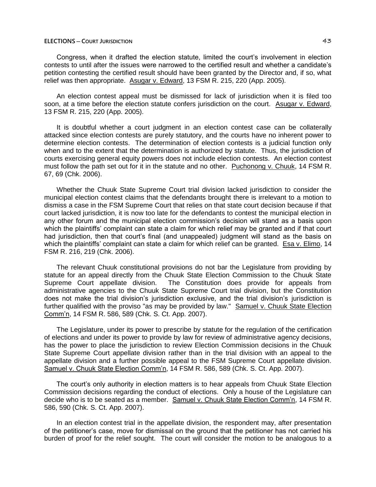Congress, when it drafted the election statute, limited the court's involvement in election contests to until after the issues were narrowed to the certified result and whether a candidate's petition contesting the certified result should have been granted by the Director and, if so, what relief was then appropriate. Asugar v. Edward, 13 FSM R. 215, 220 (App. 2005).

An election contest appeal must be dismissed for lack of jurisdiction when it is filed too soon, at a time before the election statute confers jurisdiction on the court. Asugar v. Edward, 13 FSM R. 215, 220 (App. 2005).

It is doubtful whether a court judgment in an election contest case can be collaterally attacked since election contests are purely statutory, and the courts have no inherent power to determine election contests. The determination of election contests is a judicial function only when and to the extent that the determination is authorized by statute. Thus, the jurisdiction of courts exercising general equity powers does not include election contests. An election contest must follow the path set out for it in the statute and no other. Puchonong v. Chuuk, 14 FSM R. 67, 69 (Chk. 2006).

Whether the Chuuk State Supreme Court trial division lacked jurisdiction to consider the municipal election contest claims that the defendants brought there is irrelevant to a motion to dismiss a case in the FSM Supreme Court that relies on that state court decision because if that court lacked jurisdiction, it is now too late for the defendants to contest the municipal election in any other forum and the municipal election commission's decision will stand as a basis upon which the plaintiffs' complaint can state a claim for which relief may be granted and if that court had jurisdiction, then that court's final (and unappealed) judgment will stand as the basis on which the plaintiffs' complaint can state a claim for which relief can be granted. Esa v. Elimo, 14 FSM R. 216, 219 (Chk. 2006).

The relevant Chuuk constitutional provisions do not bar the Legislature from providing by statute for an appeal directly from the Chuuk State Election Commission to the Chuuk State Supreme Court appellate division. The Constitution does provide for appeals from administrative agencies to the Chuuk State Supreme Court trial division, but the Constitution does not make the trial division's jurisdiction exclusive, and the trial division's jurisdiction is further qualified with the proviso "as may be provided by law." Samuel v. Chuuk State Election Comm'n, 14 FSM R. 586, 589 (Chk. S. Ct. App. 2007).

The Legislature, under its power to prescribe by statute for the regulation of the certification of elections and under its power to provide by law for review of administrative agency decisions, has the power to place the jurisdiction to review Election Commission decisions in the Chuuk State Supreme Court appellate division rather than in the trial division with an appeal to the appellate division and a further possible appeal to the FSM Supreme Court appellate division. Samuel v. Chuuk State Election Comm'n, 14 FSM R. 586, 589 (Chk. S. Ct. App. 2007).

The court's only authority in election matters is to hear appeals from Chuuk State Election Commission decisions regarding the conduct of elections. Only a house of the Legislature can decide who is to be seated as a member. Samuel v. Chuuk State Election Comm'n, 14 FSM R. 586, 590 (Chk. S. Ct. App. 2007).

In an election contest trial in the appellate division, the respondent may, after presentation of the petitioner's case, move for dismissal on the ground that the petitioner has not carried his burden of proof for the relief sought. The court will consider the motion to be analogous to a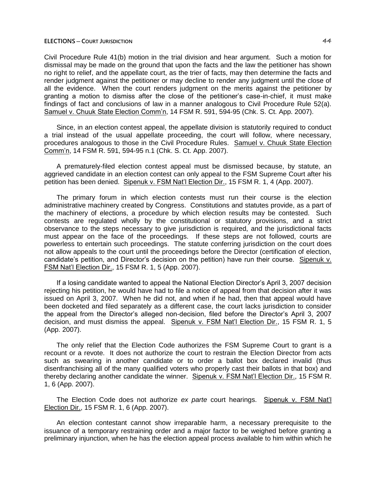Civil Procedure Rule 41(b) motion in the trial division and hear argument. Such a motion for dismissal may be made on the ground that upon the facts and the law the petitioner has shown no right to relief, and the appellate court, as the trier of facts, may then determine the facts and render judgment against the petitioner or may decline to render any judgment until the close of all the evidence. When the court renders judgment on the merits against the petitioner by granting a motion to dismiss after the close of the petitioner's case-in-chief, it must make findings of fact and conclusions of law in a manner analogous to Civil Procedure Rule 52(a). Samuel v. Chuuk State Election Comm'n, 14 FSM R. 591, 594-95 (Chk. S. Ct. App. 2007).

Since, in an election contest appeal, the appellate division is statutorily required to conduct a trial instead of the usual appellate proceeding, the court will follow, where necessary, procedures analogous to those in the Civil Procedure Rules. Samuel v. Chuuk State Election Comm'n, 14 FSM R. 591, 594-95 n.1 (Chk. S. Ct. App. 2007).

A prematurely-filed election contest appeal must be dismissed because, by statute, an aggrieved candidate in an election contest can only appeal to the FSM Supreme Court after his petition has been denied. Sipenuk v. FSM Nat'l Election Dir., 15 FSM R. 1, 4 (App. 2007).

The primary forum in which election contests must run their course is the election administrative machinery created by Congress. Constitutions and statutes provide, as a part of the machinery of elections, a procedure by which election results may be contested. Such contests are regulated wholly by the constitutional or statutory provisions, and a strict observance to the steps necessary to give jurisdiction is required, and the jurisdictional facts must appear on the face of the proceedings. If these steps are not followed, courts are powerless to entertain such proceedings. The statute conferring jurisdiction on the court does not allow appeals to the court until the proceedings before the Director (certification of election, candidate's petition, and Director's decision on the petition) have run their course. Sipenuk v. FSM Nat'l Election Dir., 15 FSM R. 1, 5 (App. 2007).

If a losing candidate wanted to appeal the National Election Director's April 3, 2007 decision rejecting his petition, he would have had to file a notice of appeal from that decision after it was issued on April 3, 2007. When he did not, and when if he had, then that appeal would have been docketed and filed separately as a different case, the court lacks jurisdiction to consider the appeal from the Director's alleged non-decision, filed before the Director's April 3, 2007 decision, and must dismiss the appeal. Sipenuk v. FSM Nat'l Election Dir., 15 FSM R. 1, 5 (App. 2007).

The only relief that the Election Code authorizes the FSM Supreme Court to grant is a recount or a revote. It does not authorize the court to restrain the Election Director from acts such as swearing in another candidate or to order a ballot box declared invalid (thus disenfranchising all of the many qualified voters who properly cast their ballots in that box) and thereby declaring another candidate the winner. Sipenuk v. FSM Nat'l Election Dir., 15 FSM R. 1, 6 (App. 2007).

The Election Code does not authorize *ex parte* court hearings. Sipenuk v. FSM Nat'l Election Dir., 15 FSM R. 1, 6 (App. 2007).

An election contestant cannot show irreparable harm, a necessary prerequisite to the issuance of a temporary restraining order and a major factor to be weighed before granting a preliminary injunction, when he has the election appeal process available to him within which he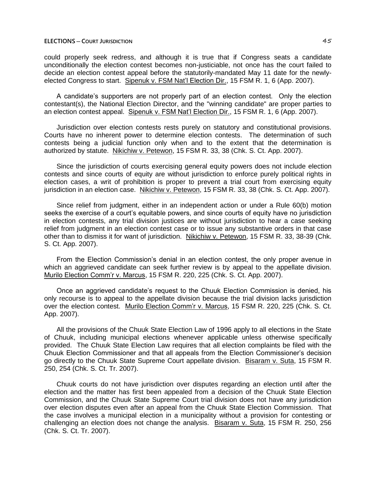could properly seek redress, and although it is true that if Congress seats a candidate unconditionally the election contest becomes non-justiciable, not once has the court failed to decide an election contest appeal before the statutorily-mandated May 11 date for the newlyelected Congress to start. Sipenuk v. FSM Nat'l Election Dir., 15 FSM R. 1, 6 (App. 2007).

A candidate's supporters are not properly part of an election contest. Only the election contestant(s), the National Election Director, and the "winning candidate" are proper parties to an election contest appeal. Sipenuk v. FSM Nat'l Election Dir., 15 FSM R. 1, 6 (App. 2007).

Jurisdiction over election contests rests purely on statutory and constitutional provisions. Courts have no inherent power to determine election contests. The determination of such contests being a judicial function only when and to the extent that the determination is authorized by statute. Nikichiw v. Petewon, 15 FSM R. 33, 38 (Chk. S. Ct. App. 2007).

Since the jurisdiction of courts exercising general equity powers does not include election contests and since courts of equity are without jurisdiction to enforce purely political rights in election cases, a writ of prohibition is proper to prevent a trial court from exercising equity jurisdiction in an election case. Nikichiw v. Petewon, 15 FSM R. 33, 38 (Chk. S. Ct. App. 2007).

Since relief from judgment, either in an independent action or under a Rule 60(b) motion seeks the exercise of a court's equitable powers, and since courts of equity have no jurisdiction in election contests, any trial division justices are without jurisdiction to hear a case seeking relief from judgment in an election contest case or to issue any substantive orders in that case other than to dismiss it for want of jurisdiction. Nikichiw v. Petewon, 15 FSM R. 33, 38-39 (Chk. S. Ct. App. 2007).

From the Election Commission's denial in an election contest, the only proper avenue in which an aggrieved candidate can seek further review is by appeal to the appellate division. Murilo Election Comm'r v. Marcus, 15 FSM R. 220, 225 (Chk. S. Ct. App. 2007).

Once an aggrieved candidate's request to the Chuuk Election Commission is denied, his only recourse is to appeal to the appellate division because the trial division lacks jurisdiction over the election contest. Murilo Election Comm'r v. Marcus, 15 FSM R. 220, 225 (Chk. S. Ct. App. 2007).

All the provisions of the Chuuk State Election Law of 1996 apply to all elections in the State of Chuuk, including municipal elections whenever applicable unless otherwise specifically provided. The Chuuk State Election Law requires that all election complaints be filed with the Chuuk Election Commissioner and that all appeals from the Election Commissioner's decision go directly to the Chuuk State Supreme Court appellate division. Bisaram v. Suta, 15 FSM R. 250, 254 (Chk. S. Ct. Tr. 2007).

Chuuk courts do not have jurisdiction over disputes regarding an election until after the election and the matter has first been appealed from a decision of the Chuuk State Election Commission, and the Chuuk State Supreme Court trial division does not have any jurisdiction over election disputes even after an appeal from the Chuuk State Election Commission. That the case involves a municipal election in a municipality without a provision for contesting or challenging an election does not change the analysis. Bisaram v. Suta, 15 FSM R. 250, 256 (Chk. S. Ct. Tr. 2007).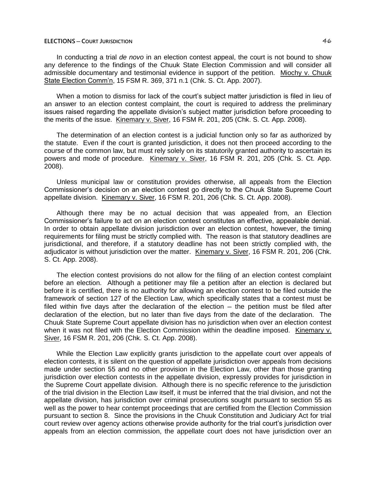In conducting a trial *de novo* in an election contest appeal, the court is not bound to show any deference to the findings of the Chuuk State Election Commission and will consider all admissible documentary and testimonial evidence in support of the petition. Miochy v. Chuuk State Election Comm'n, 15 FSM R. 369, 371 n.1 (Chk. S. Ct. App. 2007).

When a motion to dismiss for lack of the court's subject matter jurisdiction is filed in lieu of an answer to an election contest complaint, the court is required to address the preliminary issues raised regarding the appellate division's subject matter jurisdiction before proceeding to the merits of the issue. Kinemary v. Siver, 16 FSM R. 201, 205 (Chk. S. Ct. App. 2008).

The determination of an election contest is a judicial function only so far as authorized by the statute. Even if the court is granted jurisdiction, it does not then proceed according to the course of the common law, but must rely solely on its statutorily granted authority to ascertain its powers and mode of procedure. Kinemary v. Siver, 16 FSM R. 201, 205 (Chk. S. Ct. App. 2008).

Unless municipal law or constitution provides otherwise, all appeals from the Election Commissioner's decision on an election contest go directly to the Chuuk State Supreme Court appellate division. Kinemary v. Siver, 16 FSM R. 201, 206 (Chk. S. Ct. App. 2008).

Although there may be no actual decision that was appealed from, an Election Commissioner's failure to act on an election contest constitutes an effective, appealable denial. In order to obtain appellate division jurisdiction over an election contest, however, the timing requirements for filing must be strictly complied with. The reason is that statutory deadlines are jurisdictional, and therefore, if a statutory deadline has not been strictly complied with, the adjudicator is without jurisdiction over the matter. Kinemary v. Siver, 16 FSM R. 201, 206 (Chk. S. Ct. App. 2008).

The election contest provisions do not allow for the filing of an election contest complaint before an election. Although a petitioner may file a petition after an election is declared but before it is certified, there is no authority for allowing an election contest to be filed outside the framework of section 127 of the Election Law, which specifically states that a contest must be filed within five days after the declaration of the election  $-$  the petition must be filed after declaration of the election, but no later than five days from the date of the declaration. The Chuuk State Supreme Court appellate division has no jurisdiction when over an election contest when it was not filed with the Election Commission within the deadline imposed. Kinemary v. Siver, 16 FSM R. 201, 206 (Chk. S. Ct. App. 2008).

While the Election Law explicitly grants jurisdiction to the appellate court over appeals of election contests, it is silent on the question of appellate jurisdiction over appeals from decisions made under section 55 and no other provision in the Election Law, other than those granting jurisdiction over election contests in the appellate division, expressly provides for jurisdiction in the Supreme Court appellate division. Although there is no specific reference to the jurisdiction of the trial division in the Election Law itself, it must be inferred that the trial division, and not the appellate division, has jurisdiction over criminal prosecutions sought pursuant to section 55 as well as the power to hear contempt proceedings that are certified from the Election Commission pursuant to section 8. Since the provisions in the Chuuk Constitution and Judiciary Act for trial court review over agency actions otherwise provide authority for the trial court's jurisdiction over appeals from an election commission, the appellate court does not have jurisdiction over an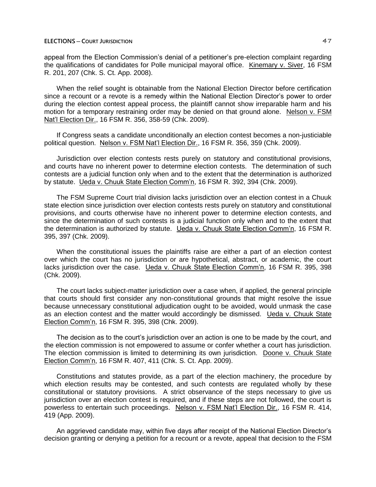appeal from the Election Commission's denial of a petitioner's pre-election complaint regarding the qualifications of candidates for Polle municipal mayoral office. Kinemary v. Siver, 16 FSM R. 201, 207 (Chk. S. Ct. App. 2008).

When the relief sought is obtainable from the National Election Director before certification since a recount or a revote is a remedy within the National Election Director's power to order during the election contest appeal process, the plaintiff cannot show irreparable harm and his motion for a temporary restraining order may be denied on that ground alone. Nelson v. FSM Nat'l Election Dir., 16 FSM R. 356, 358-59 (Chk. 2009).

If Congress seats a candidate unconditionally an election contest becomes a non-justiciable political question. Nelson v. FSM Nat'l Election Dir., 16 FSM R. 356, 359 (Chk. 2009).

Jurisdiction over election contests rests purely on statutory and constitutional provisions, and courts have no inherent power to determine election contests. The determination of such contests are a judicial function only when and to the extent that the determination is authorized by statute. Ueda v. Chuuk State Election Comm'n, 16 FSM R. 392, 394 (Chk. 2009).

The FSM Supreme Court trial division lacks jurisdiction over an election contest in a Chuuk state election since jurisdiction over election contests rests purely on statutory and constitutional provisions, and courts otherwise have no inherent power to determine election contests, and since the determination of such contests is a judicial function only when and to the extent that the determination is authorized by statute. Ueda v. Chuuk State Election Comm'n, 16 FSM R. 395, 397 (Chk. 2009).

When the constitutional issues the plaintiffs raise are either a part of an election contest over which the court has no jurisdiction or are hypothetical, abstract, or academic, the court lacks jurisdiction over the case. Ueda v. Chuuk State Election Comm'n, 16 FSM R. 395, 398 (Chk. 2009).

The court lacks subject-matter jurisdiction over a case when, if applied, the general principle that courts should first consider any non-constitutional grounds that might resolve the issue because unnecessary constitutional adjudication ought to be avoided, would unmask the case as an election contest and the matter would accordingly be dismissed. Ueda v. Chuuk State Election Comm'n, 16 FSM R. 395, 398 (Chk. 2009).

The decision as to the court's jurisdiction over an action is one to be made by the court, and the election commission is not empowered to assume or confer whether a court has jurisdiction. The election commission is limited to determining its own jurisdiction. Doone v. Chuuk State Election Comm'n, 16 FSM R. 407, 411 (Chk. S. Ct. App. 2009).

Constitutions and statutes provide, as a part of the election machinery, the procedure by which election results may be contested, and such contests are regulated wholly by these constitutional or statutory provisions. A strict observance of the steps necessary to give us jurisdiction over an election contest is required, and if these steps are not followed, the court is powerless to entertain such proceedings. Nelson v. FSM Nat'l Election Dir., 16 FSM R. 414, 419 (App. 2009).

An aggrieved candidate may, within five days after receipt of the National Election Director's decision granting or denying a petition for a recount or a revote, appeal that decision to the FSM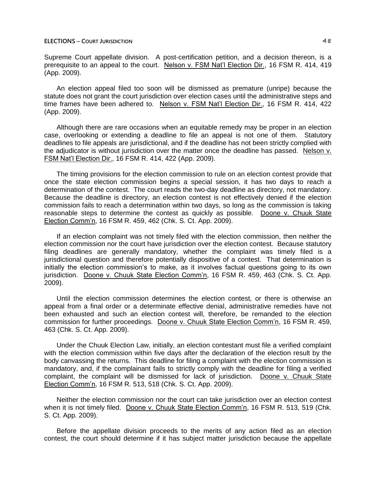Supreme Court appellate division. A post-certification petition, and a decision thereon, is a prerequisite to an appeal to the court. Nelson v. FSM Nat'l Election Dir., 16 FSM R. 414, 419 (App. 2009).

An election appeal filed too soon will be dismissed as premature (unripe) because the statute does not grant the court jurisdiction over election cases until the administrative steps and time frames have been adhered to. Nelson v. FSM Nat'l Election Dir., 16 FSM R. 414, 422 (App. 2009).

Although there are rare occasions when an equitable remedy may be proper in an election case, overlooking or extending a deadline to file an appeal is not one of them. Statutory deadlines to file appeals are jurisdictional, and if the deadline has not been strictly complied with the adjudicator is without jurisdiction over the matter once the deadline has passed. Nelson v. FSM Nat'l Election Dir., 16 FSM R. 414, 422 (App. 2009).

The timing provisions for the election commission to rule on an election contest provide that once the state election commission begins a special session, it has two days to reach a determination of the contest. The court reads the two-day deadline as directory, not mandatory. Because the deadline is directory, an election contest is not effectively denied if the election commission fails to reach a determination within two days, so long as the commission is taking reasonable steps to determine the contest as quickly as possible. Doone v. Chuuk State Election Comm'n, 16 FSM R. 459, 462 (Chk. S. Ct. App. 2009).

If an election complaint was not timely filed with the election commission, then neither the election commission nor the court have jurisdiction over the election contest. Because statutory filing deadlines are generally mandatory, whether the complaint was timely filed is a jurisdictional question and therefore potentially dispositive of a contest. That determination is initially the election commission's to make, as it involves factual questions going to its own jurisdiction. Doone v. Chuuk State Election Comm'n, 16 FSM R. 459, 463 (Chk. S. Ct. App. 2009).

Until the election commission determines the election contest, or there is otherwise an appeal from a final order or a determinate effective denial, administrative remedies have not been exhausted and such an election contest will, therefore, be remanded to the election commission for further proceedings. Doone v. Chuuk State Election Comm'n, 16 FSM R. 459, 463 (Chk. S. Ct. App. 2009).

Under the Chuuk Election Law, initially, an election contestant must file a verified complaint with the election commission within five days after the declaration of the election result by the body canvassing the returns. This deadline for filing a complaint with the election commission is mandatory, and, if the complainant fails to strictly comply with the deadline for filing a verified complaint, the complaint will be dismissed for lack of jurisdiction. Doone v. Chuuk State Election Comm'n, 16 FSM R. 513, 518 (Chk. S. Ct. App. 2009).

Neither the election commission nor the court can take jurisdiction over an election contest when it is not timely filed. Doone v. Chuuk State Election Comm'n, 16 FSM R. 513, 519 (Chk. S. Ct. App. 2009).

Before the appellate division proceeds to the merits of any action filed as an election contest, the court should determine if it has subject matter jurisdiction because the appellate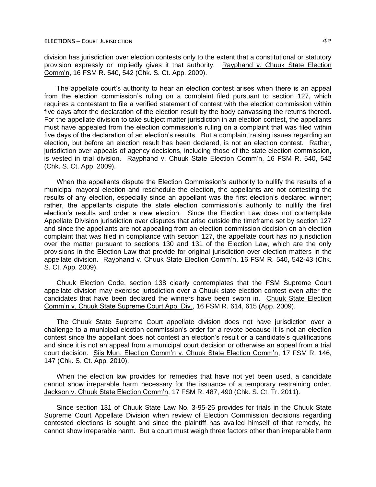division has jurisdiction over election contests only to the extent that a constitutional or statutory provision expressly or impliedly gives it that authority. Rayphand v. Chuuk State Election Comm'n, 16 FSM R. 540, 542 (Chk. S. Ct. App. 2009).

The appellate court's authority to hear an election contest arises when there is an appeal from the election commission's ruling on a complaint filed pursuant to section 127, which requires a contestant to file a verified statement of contest with the election commission within five days after the declaration of the election result by the body canvassing the returns thereof. For the appellate division to take subject matter jurisdiction in an election contest, the appellants must have appealed from the election commission's ruling on a complaint that was filed within five days of the declaration of an election's results. But a complaint raising issues regarding an election, but before an election result has been declared, is not an election contest. Rather, jurisdiction over appeals of agency decisions, including those of the state election commission, is vested in trial division. Rayphand v. Chuuk State Election Comm'n, 16 FSM R. 540, 542 (Chk. S. Ct. App. 2009).

When the appellants dispute the Election Commission's authority to nullify the results of a municipal mayoral election and reschedule the election, the appellants are not contesting the results of any election, especially since an appellant was the first election's declared winner; rather, the appellants dispute the state election commission's authority to nullify the first election's results and order a new election. Since the Election Law does not contemplate Appellate Division jurisdiction over disputes that arise outside the timeframe set by section 127 and since the appellants are not appealing from an election commission decision on an election complaint that was filed in compliance with section 127, the appellate court has no jurisdiction over the matter pursuant to sections 130 and 131 of the Election Law, which are the only provisions in the Election Law that provide for original jurisdiction over election matters in the appellate division. Rayphand v. Chuuk State Election Comm'n, 16 FSM R. 540, 542-43 (Chk. S. Ct. App. 2009).

Chuuk Election Code, section 138 clearly contemplates that the FSM Supreme Court appellate division may exercise jurisdiction over a Chuuk state election contest even after the candidates that have been declared the winners have been sworn in. Chuuk State Election Comm'n v. Chuuk State Supreme Court App. Div., 16 FSM R. 614, 615 (App. 2009).

The Chuuk State Supreme Court appellate division does not have jurisdiction over a challenge to a municipal election commission's order for a revote because it is not an election contest since the appellant does not contest an election's result or a candidate's qualifications and since it is not an appeal from a municipal court decision or otherwise an appeal from a trial court decision. Siis Mun. Election Comm'n v. Chuuk State Election Comm'n, 17 FSM R. 146, 147 (Chk. S. Ct. App. 2010).

When the election law provides for remedies that have not yet been used, a candidate cannot show irreparable harm necessary for the issuance of a temporary restraining order. Jackson v. Chuuk State Election Comm'n, 17 FSM R. 487, 490 (Chk. S. Ct. Tr. 2011).

Since section 131 of Chuuk State Law No. 3-95-26 provides for trials in the Chuuk State Supreme Court Appellate Division when review of Election Commission decisions regarding contested elections is sought and since the plaintiff has availed himself of that remedy, he cannot show irreparable harm. But a court must weigh three factors other than irreparable harm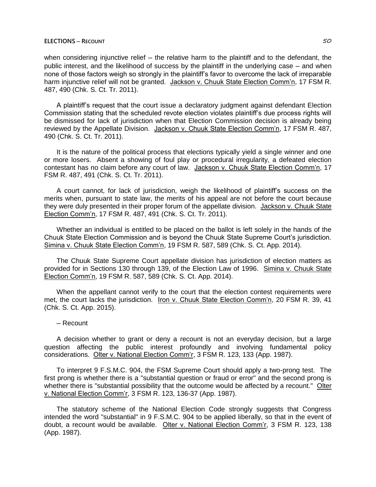when considering injunctive relief - the relative harm to the plaintiff and to the defendant, the public interest, and the likelihood of success by the plaintiff in the underlying case — and when none of those factors weigh so strongly in the plaintiff's favor to overcome the lack of irreparable harm injunctive relief will not be granted. Jackson v. Chuuk State Election Comm'n, 17 FSM R. 487, 490 (Chk. S. Ct. Tr. 2011).

A plaintiff's request that the court issue a declaratory judgment against defendant Election Commission stating that the scheduled revote election violates plaintiff's due process rights will be dismissed for lack of jurisdiction when that Election Commission decision is already being reviewed by the Appellate Division. Jackson v. Chuuk State Election Comm'n, 17 FSM R. 487, 490 (Chk. S. Ct. Tr. 2011).

It is the nature of the political process that elections typically yield a single winner and one or more losers. Absent a showing of foul play or procedural irregularity, a defeated election contestant has no claim before any court of law. Jackson v. Chuuk State Election Comm'n, 17 FSM R. 487, 491 (Chk. S. Ct. Tr. 2011).

A court cannot, for lack of jurisdiction, weigh the likelihood of plaintiff's success on the merits when, pursuant to state law, the merits of his appeal are not before the court because they were duly presented in their proper forum of the appellate division. Jackson v. Chuuk State Election Comm'n, 17 FSM R. 487, 491 (Chk. S. Ct. Tr. 2011).

Whether an individual is entitled to be placed on the ballot is left solely in the hands of the Chuuk State Election Commission and is beyond the Chuuk State Supreme Court's jurisdiction. Simina v. Chuuk State Election Comm'n, 19 FSM R. 587, 589 (Chk. S. Ct. App. 2014).

The Chuuk State Supreme Court appellate division has jurisdiction of election matters as provided for in Sections 130 through 139, of the Election Law of 1996. Simina v. Chuuk State Election Comm'n, 19 FSM R. 587, 589 (Chk. S. Ct. App. 2014).

When the appellant cannot verify to the court that the election contest requirements were met, the court lacks the jurisdiction. Iron v. Chuuk State Election Comm'n, 20 FSM R. 39, 41 (Chk. S. Ct. App. 2015).

#### ─ Recount

A decision whether to grant or deny a recount is not an everyday decision, but a large question affecting the public interest profoundly and involving fundamental policy considerations. Olter v. National Election Comm'r, 3 FSM R. 123, 133 (App. 1987).

To interpret 9 F.S.M.C. 904, the FSM Supreme Court should apply a two-prong test. The first prong is whether there is a "substantial question or fraud or error" and the second prong is whether there is "substantial possibility that the outcome would be affected by a recount." Olter v. National Election Comm'r, 3 FSM R. 123, 136-37 (App. 1987).

The statutory scheme of the National Election Code strongly suggests that Congress intended the word "substantial" in 9 F.S.M.C. 904 to be applied liberally, so that in the event of doubt, a recount would be available. Olter v. National Election Comm'r, 3 FSM R. 123, 138 (App. 1987).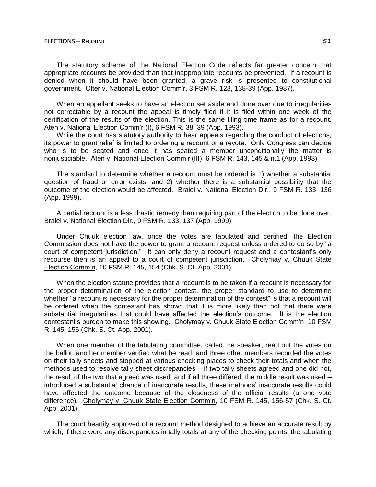#### **ELECTIONS ─ RECOUNT** 51

The statutory scheme of the National Election Code reflects far greater concern that appropriate recounts be provided than that inappropriate recounts be prevented. If a recount is denied when it should have been granted, a grave risk is presented to constitutional government. Olter v. National Election Comm'r, 3 FSM R. 123, 138-39 (App. 1987).

When an appellant seeks to have an election set aside and done over due to irregularities not correctable by a recount the appeal is timely filed if it is filed within one week of the certification of the results of the election. This is the same filing time frame as for a recount. Aten v. National Election Comm'r (I), 6 FSM R. 38, 39 (App. 1993).

While the court has statutory authority to hear appeals regarding the conduct of elections, its power to grant relief is limited to ordering a recount or a revote. Only Congress can decide who is to be seated and once it has seated a member unconditionally the matter is nonjusticiable. Aten v. National Election Comm'r (III), 6 FSM R. 143, 145 & n.1 (App. 1993).

The standard to determine whether a recount must be ordered is 1) whether a substantial question of fraud or error exists, and 2) whether there is a substantial possibility that the outcome of the election would be affected. Braiel v. National Election Dir., 9 FSM R. 133, 136 (App. 1999).

A partial recount is a less drastic remedy than requiring part of the election to be done over. Braiel v. National Election Dir., 9 FSM R. 133, 137 (App. 1999).

Under Chuuk election law, once the votes are tabulated and certified, the Election Commission does not have the power to grant a recount request unless ordered to do so by "a court of competent jurisdiction." It can only deny a recount request and a contestant's only recourse then is an appeal to a court of competent jurisdiction. Cholymay v. Chuuk State Election Comm'n, 10 FSM R. 145, 154 (Chk. S. Ct. App. 2001).

When the election statute provides that a recount is to be taken if a recount is necessary for the proper determination of the election contest, the proper standard to use to determine whether "a recount is necessary for the proper determination of the contest" is that a recount will be ordered when the contestant has shown that it is more likely than not that there were substantial irregularities that could have affected the election's outcome. It is the election contestant's burden to make this showing. Cholymay v. Chuuk State Election Comm'n, 10 FSM R. 145, 156 (Chk. S. Ct. App. 2001).

When one member of the tabulating committee, called the speaker, read out the votes on the ballot, another member verified what he read, and three other members recorded the votes on their tally sheets and stopped at various checking places to check their totals and when the methods used to resolve tally sheet discrepancies – if two tally sheets agreed and one did not, the result of the two that agreed was used; and if all three differed, the middle result was used  $$ introduced a substantial chance of inaccurate results, these methods' inaccurate results could have affected the outcome because of the closeness of the official results (a one vote difference). Cholymay v. Chuuk State Election Comm'n, 10 FSM R. 145, 156-57 (Chk. S. Ct. App. 2001).

The court heartily approved of a recount method designed to achieve an accurate result by which, if there were any discrepancies in tally totals at any of the checking points, the tabulating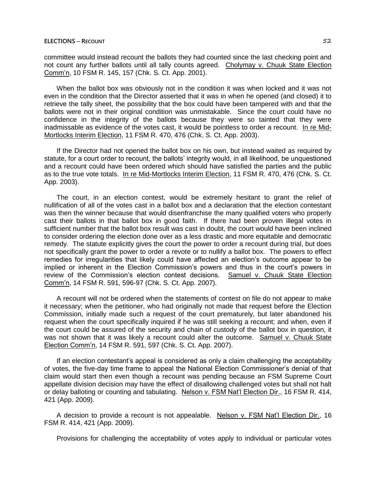committee would instead recount the ballots they had counted since the last checking point and not count any further ballots until all tally counts agreed. Cholymay v. Chuuk State Election Comm'n, 10 FSM R. 145, 157 (Chk. S. Ct. App. 2001).

When the ballot box was obviously not in the condition it was when locked and it was not even in the condition that the Director asserted that it was in when he opened (and closed) it to retrieve the tally sheet, the possibility that the box could have been tampered with and that the ballots were not in their original condition was unmistakable. Since the court could have no confidence in the integrity of the ballots because they were so tainted that they were inadmissable as evidence of the votes cast, it would be pointless to order a recount. In re Mid-Mortlocks Interim Election, 11 FSM R. 470, 476 (Chk. S. Ct. App. 2003).

If the Director had not opened the ballot box on his own, but instead waited as required by statute, for a court order to recount, the ballots' integrity would, in all likelihood, be unquestioned and a recount could have been ordered which should have satisfied the parties and the public as to the true vote totals. In re Mid-Mortlocks Interim Election, 11 FSM R. 470, 476 (Chk. S. Ct. App. 2003).

The court, in an election contest, would be extremely hesitant to grant the relief of nullification of all of the votes cast in a ballot box and a declaration that the election contestant was then the winner because that would disenfranchise the many qualified voters who properly cast their ballots in that ballot box in good faith. If there had been proven illegal votes in sufficient number that the ballot box result was cast in doubt, the court would have been inclined to consider ordering the election done over as a less drastic and more equitable and democratic remedy. The statute explicitly gives the court the power to order a recount during trial, but does not specifically grant the power to order a revote or to nullify a ballot box. The powers to effect remedies for irregularities that likely could have affected an election's outcome appear to be implied or inherent in the Election Commission's powers and thus in the court's powers in review of the Commission's election contest decisions. Samuel v. Chuuk State Election Comm'n, 14 FSM R. 591, 596-97 (Chk. S. Ct. App. 2007).

A recount will not be ordered when the statements of contest on file do not appear to make it necessary; when the petitioner, who had originally not made that request before the Election Commission, initially made such a request of the court prematurely, but later abandoned his request when the court specifically inquired if he was still seeking a recount; and when, even if the court could be assured of the security and chain of custody of the ballot box in question, it was not shown that it was likely a recount could alter the outcome. Samuel v. Chuuk State Election Comm'n, 14 FSM R. 591, 597 (Chk. S. Ct. App. 2007).

If an election contestant's appeal is considered as only a claim challenging the acceptability of votes, the five-day time frame to appeal the National Election Commissioner's denial of that claim would start then even though a recount was pending because an FSM Supreme Court appellate division decision may have the effect of disallowing challenged votes but shall not halt or delay balloting or counting and tabulating. Nelson v. FSM Nat'l Election Dir., 16 FSM R. 414, 421 (App. 2009).

A decision to provide a recount is not appealable. Nelson v. FSM Nat'l Election Dir., 16 FSM R. 414, 421 (App. 2009).

Provisions for challenging the acceptability of votes apply to individual or particular votes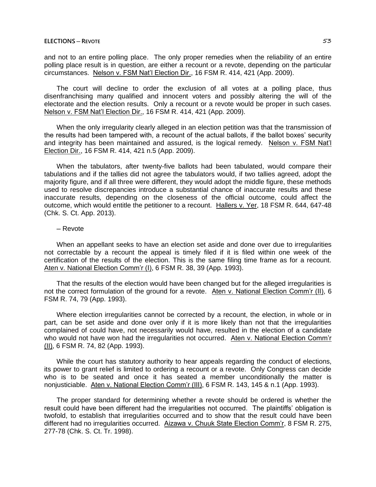and not to an entire polling place. The only proper remedies when the reliability of an entire polling place result is in question, are either a recount or a revote, depending on the particular circumstances. Nelson v. FSM Nat'l Election Dir., 16 FSM R. 414, 421 (App. 2009).

The court will decline to order the exclusion of all votes at a polling place, thus disenfranchising many qualified and innocent voters and possibly altering the will of the electorate and the election results. Only a recount or a revote would be proper in such cases. Nelson v. FSM Nat'l Election Dir., 16 FSM R. 414, 421 (App. 2009).

When the only irregularity clearly alleged in an election petition was that the transmission of the results had been tampered with, a recount of the actual ballots, if the ballot boxes' security and integrity has been maintained and assured, is the logical remedy. Nelson v. FSM Nat'l Election Dir., 16 FSM R. 414, 421 n.5 (App. 2009).

When the tabulators, after twenty-five ballots had been tabulated, would compare their tabulations and if the tallies did not agree the tabulators would, if two tallies agreed, adopt the majority figure, and if all three were different, they would adopt the middle figure, these methods used to resolve discrepancies introduce a substantial chance of inaccurate results and these inaccurate results, depending on the closeness of the official outcome, could affect the outcome, which would entitle the petitioner to a recount. Hallers v. Yer, 18 FSM R. 644, 647-48 (Chk. S. Ct. App. 2013).

### ─ Revote

When an appellant seeks to have an election set aside and done over due to irregularities not correctable by a recount the appeal is timely filed if it is filed within one week of the certification of the results of the election. This is the same filing time frame as for a recount. Aten v. National Election Comm'r (I), 6 FSM R. 38, 39 (App. 1993).

That the results of the election would have been changed but for the alleged irregularities is not the correct formulation of the ground for a revote. Aten v. National Election Comm'r (II), 6 FSM R. 74, 79 (App. 1993).

Where election irregularities cannot be corrected by a recount, the election, in whole or in part, can be set aside and done over only if it is more likely than not that the irregularities complained of could have, not necessarily would have, resulted in the election of a candidate who would not have won had the irregularities not occurred. Aten v. National Election Comm'r (II), 6 FSM R. 74, 82 (App. 1993).

While the court has statutory authority to hear appeals regarding the conduct of elections, its power to grant relief is limited to ordering a recount or a revote. Only Congress can decide who is to be seated and once it has seated a member unconditionally the matter is nonjusticiable. Aten v. National Election Comm'r (III), 6 FSM R. 143, 145 & n.1 (App. 1993).

The proper standard for determining whether a revote should be ordered is whether the result could have been different had the irregularities not occurred. The plaintiffs' obligation is twofold, to establish that irregularities occurred and to show that the result could have been different had no irregularities occurred. Aizawa v. Chuuk State Election Comm'r, 8 FSM R. 275, 277-78 (Chk. S. Ct. Tr. 1998).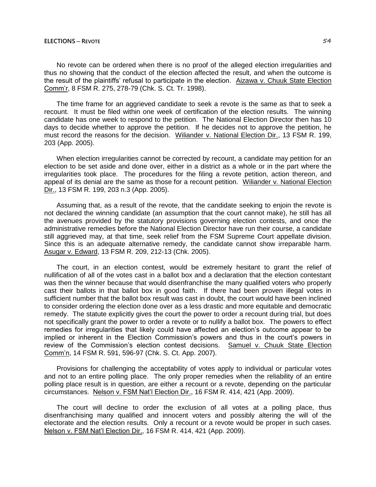No revote can be ordered when there is no proof of the alleged election irregularities and thus no showing that the conduct of the election affected the result, and when the outcome is the result of the plaintiffs' refusal to participate in the election. Aizawa v. Chuuk State Election Comm'r, 8 FSM R. 275, 278-79 (Chk. S. Ct. Tr. 1998).

The time frame for an aggrieved candidate to seek a revote is the same as that to seek a recount. It must be filed within one week of certification of the election results. The winning candidate has one week to respond to the petition. The National Election Director then has 10 days to decide whether to approve the petition. If he decides not to approve the petition, he must record the reasons for the decision. Wiliander v. National Election Dir., 13 FSM R. 199, 203 (App. 2005).

When election irregularities cannot be corrected by recount, a candidate may petition for an election to be set aside and done over, either in a district as a whole or in the part where the irregularities took place. The procedures for the filing a revote petition, action thereon, and appeal of its denial are the same as those for a recount petition. Wiliander v. National Election Dir., 13 FSM R. 199, 203 n.3 (App. 2005).

Assuming that, as a result of the revote, that the candidate seeking to enjoin the revote is not declared the winning candidate (an assumption that the court cannot make), he still has all the avenues provided by the statutory provisions governing election contests, and once the administrative remedies before the National Election Director have run their course, a candidate still aggrieved may, at that time, seek relief from the FSM Supreme Court appellate division. Since this is an adequate alternative remedy, the candidate cannot show irreparable harm. Asugar v. Edward, 13 FSM R. 209, 212-13 (Chk. 2005).

The court, in an election contest, would be extremely hesitant to grant the relief of nullification of all of the votes cast in a ballot box and a declaration that the election contestant was then the winner because that would disenfranchise the many qualified voters who properly cast their ballots in that ballot box in good faith. If there had been proven illegal votes in sufficient number that the ballot box result was cast in doubt, the court would have been inclined to consider ordering the election done over as a less drastic and more equitable and democratic remedy. The statute explicitly gives the court the power to order a recount during trial, but does not specifically grant the power to order a revote or to nullify a ballot box. The powers to effect remedies for irregularities that likely could have affected an election's outcome appear to be implied or inherent in the Election Commission's powers and thus in the court's powers in review of the Commission's election contest decisions. Samuel v. Chuuk State Election Comm'n, 14 FSM R. 591, 596-97 (Chk. S. Ct. App. 2007).

Provisions for challenging the acceptability of votes apply to individual or particular votes and not to an entire polling place. The only proper remedies when the reliability of an entire polling place result is in question, are either a recount or a revote, depending on the particular circumstances. Nelson v. FSM Nat'l Election Dir., 16 FSM R. 414, 421 (App. 2009).

The court will decline to order the exclusion of all votes at a polling place, thus disenfranchising many qualified and innocent voters and possibly altering the will of the electorate and the election results. Only a recount or a revote would be proper in such cases. Nelson v. FSM Nat'l Election Dir., 16 FSM R. 414, 421 (App. 2009).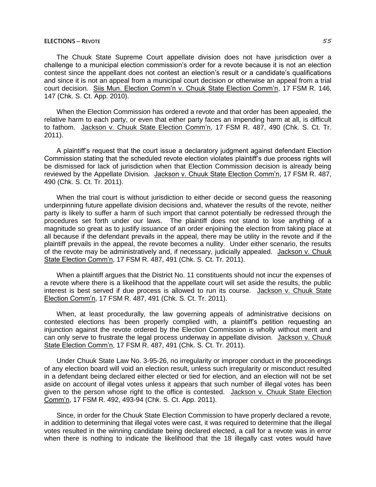### **ELECTIONS ─ REVOTE** 55

The Chuuk State Supreme Court appellate division does not have jurisdiction over a challenge to a municipal election commission's order for a revote because it is not an election contest since the appellant does not contest an election's result or a candidate's qualifications and since it is not an appeal from a municipal court decision or otherwise an appeal from a trial court decision. Siis Mun. Election Comm'n v. Chuuk State Election Comm'n, 17 FSM R. 146, 147 (Chk. S. Ct. App. 2010).

When the Election Commission has ordered a revote and that order has been appealed, the relative harm to each party, or even that either party faces an impending harm at all, is difficult to fathom. Jackson v. Chuuk State Election Comm'n, 17 FSM R. 487, 490 (Chk. S. Ct. Tr. 2011).

A plaintiff's request that the court issue a declaratory judgment against defendant Election Commission stating that the scheduled revote election violates plaintiff's due process rights will be dismissed for lack of jurisdiction when that Election Commission decision is already being reviewed by the Appellate Division. Jackson v. Chuuk State Election Comm'n, 17 FSM R. 487, 490 (Chk. S. Ct. Tr. 2011).

When the trial court is without jurisdiction to either decide or second guess the reasoning underpinning future appellate division decisions and, whatever the results of the revote, neither party is likely to suffer a harm of such import that cannot potentially be redressed through the procedures set forth under our laws. The plaintiff does not stand to lose anything of a magnitude so great as to justify issuance of an order enjoining the election from taking place at all because if the defendant prevails in the appeal, there may be utility in the revote and if the plaintiff prevails in the appeal, the revote becomes a nullity. Under either scenario, the results of the revote may be administratively and, if necessary, judicially appealed. Jackson v. Chuuk State Election Comm'n, 17 FSM R. 487, 491 (Chk. S. Ct. Tr. 2011).

When a plaintiff argues that the District No. 11 constituents should not incur the expenses of a revote where there is a likelihood that the appellate court will set aside the results, the public interest is best served if due process is allowed to run its course. Jackson v. Chuuk State Election Comm'n, 17 FSM R. 487, 491 (Chk. S. Ct. Tr. 2011).

When, at least procedurally, the law governing appeals of administrative decisions on contested elections has been properly complied with, a plaintiff's petition requesting an injunction against the revote ordered by the Election Commission is wholly without merit and can only serve to frustrate the legal process underway in appellate division. Jackson v. Chuuk State Election Comm'n, 17 FSM R. 487, 491 (Chk. S. Ct. Tr. 2011).

Under Chuuk State Law No. 3-95-26, no irregularity or improper conduct in the proceedings of any election board will void an election result, unless such irregularity or misconduct resulted in a defendant being declared either elected or tied for election, and an election will not be set aside on account of illegal votes unless it appears that such number of illegal votes has been given to the person whose right to the office is contested. Jackson v. Chuuk State Election Comm'n, 17 FSM R. 492, 493-94 (Chk. S. Ct. App. 2011).

Since, in order for the Chuuk State Election Commission to have properly declared a revote, in addition to determining that illegal votes were cast, it was required to determine that the illegal votes resulted in the winning candidate being declared elected, a call for a revote was in error when there is nothing to indicate the likelihood that the 18 illegally cast votes would have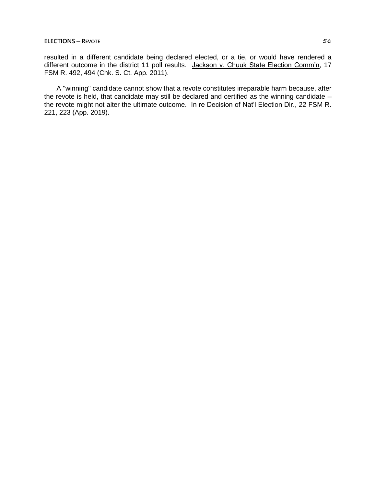resulted in a different candidate being declared elected, or a tie, or would have rendered a different outcome in the district 11 poll results. Jackson v. Chuuk State Election Comm'n, 17 FSM R. 492, 494 (Chk. S. Ct. App. 2011).

A "winning" candidate cannot show that a revote constitutes irreparable harm because, after the revote is held, that candidate may still be declared and certified as the winning candidate  $$ the revote might not alter the ultimate outcome. In re Decision of Nat'l Election Dir., 22 FSM R. 221, 223 (App. 2019).